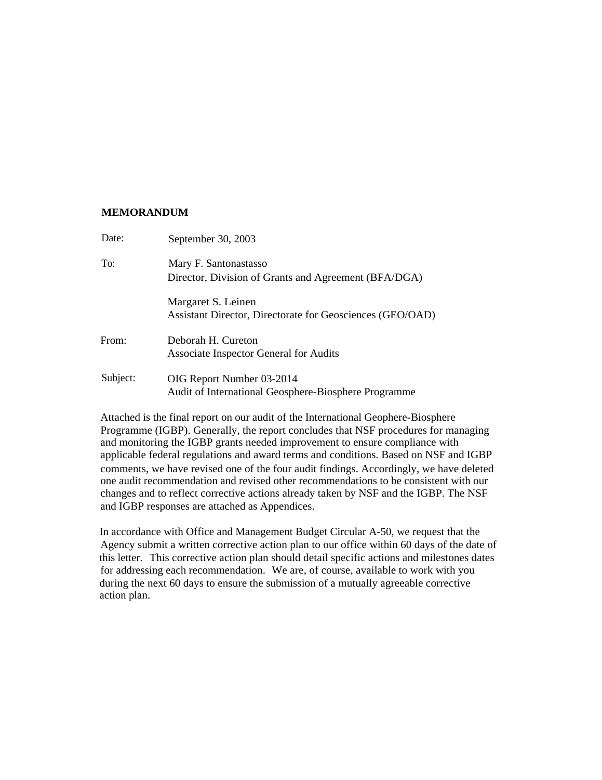### **MEMORANDUM**

| Date:    | September 30, 2003                                                                |
|----------|-----------------------------------------------------------------------------------|
| To:      | Mary F. Santonastasso<br>Director, Division of Grants and Agreement (BFA/DGA)     |
|          | Margaret S. Leinen<br>Assistant Director, Directorate for Geosciences (GEO/OAD)   |
| From:    | Deborah H. Cureton<br>Associate Inspector General for Audits                      |
| Subject: | OIG Report Number 03-2014<br>Audit of International Geosphere-Biosphere Programme |

Attached is the final report on our audit of the International Geophere-Biosphere Programme (IGBP). Generally, the report concludes that NSF procedures for managing and monitoring the IGBP grants needed improvement to ensure compliance with applicable federal regulations and award terms and conditions. Based on NSF and IGBP comments, we have revised one of the four audit findings. Accordingly, we have deleted one audit recommendation and revised other recommendations to be consistent with our changes and to reflect corrective actions already taken by NSF and the IGBP. The NSF and IGBP responses are attached as Appendices.

In accordance with Office and Management Budget Circular A-50, we request that the Agency submit a written corrective action plan to our office within 60 days of the date of this letter. This corrective action plan should detail specific actions and milestones dates for addressing each recommendation. We are, of course, available to work with you during the next 60 days to ensure the submission of a mutually agreeable corrective action plan.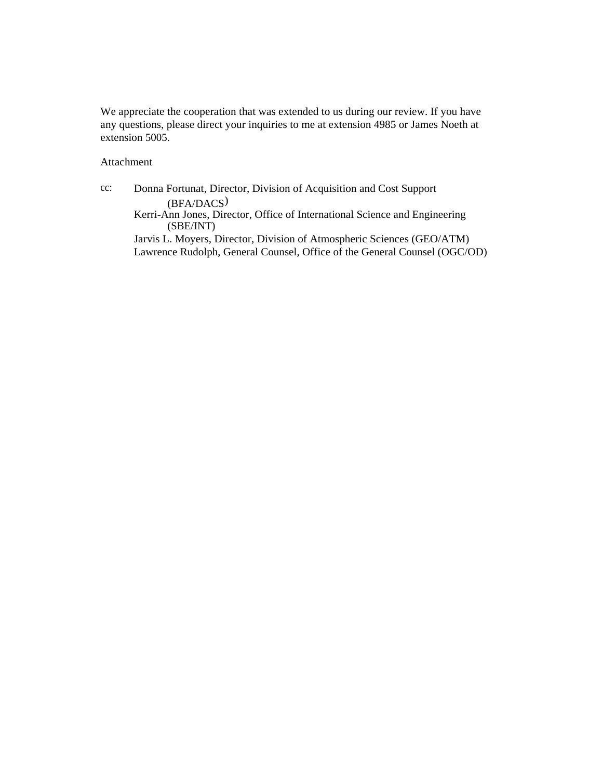We appreciate the cooperation that was extended to us during our review. If you have any questions, please direct your inquiries to me at extension 4985 or James Noeth at extension 5005.

Attachment

cc: Donna Fortunat, Director, Division of Acquisition and Cost Support (BFA/DACS) Kerri-Ann Jones, Director, Office of International Science and Engineering (SBE/INT) Jarvis L. Moyers, Director, Division of Atmospheric Sciences (GEO/ATM) Lawrence Rudolph, General Counsel, Office of the General Counsel (OGC/OD)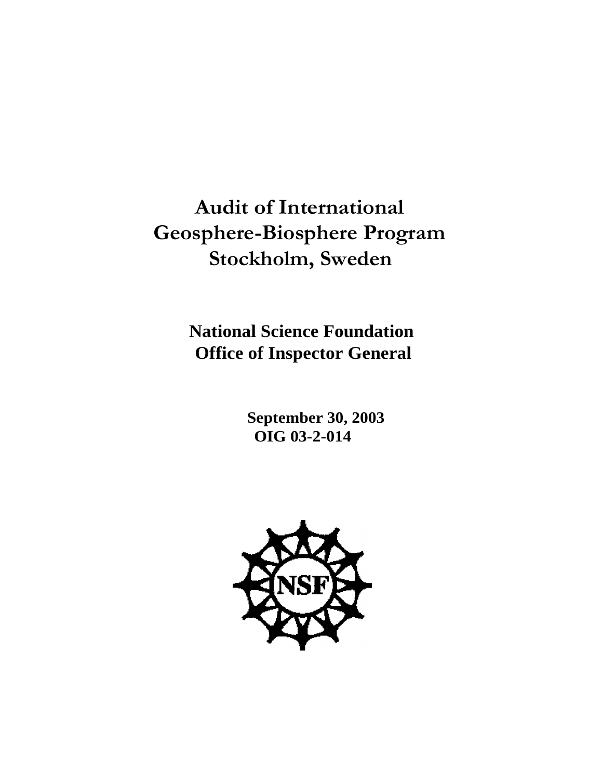**Audit of International Geosphere-Biosphere Program Stockholm, Sweden**

> **National Science Foundation Office of Inspector General**

> > **September 30, 2003 OIG 03-2-014**

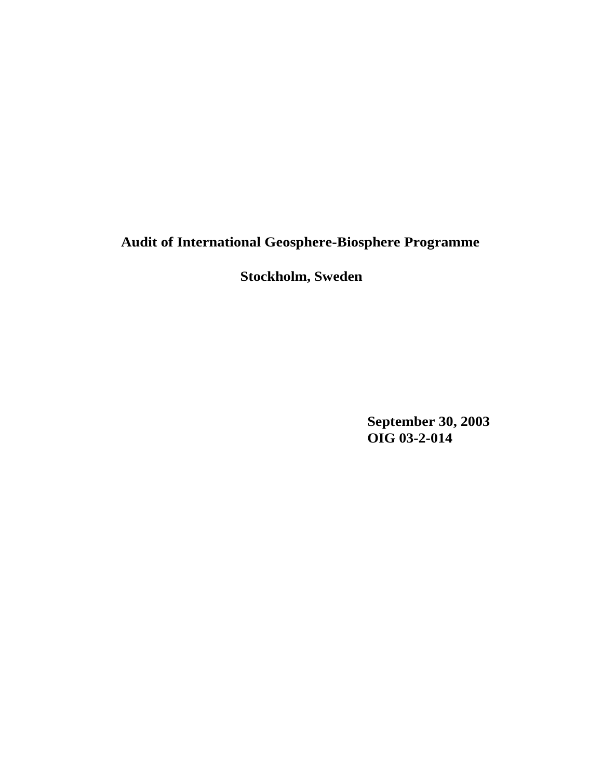# **Audit of International Geosphere-Biosphere Programme**

# **Stockholm, Sweden**

**September 30, 2003 OIG 03-2-014**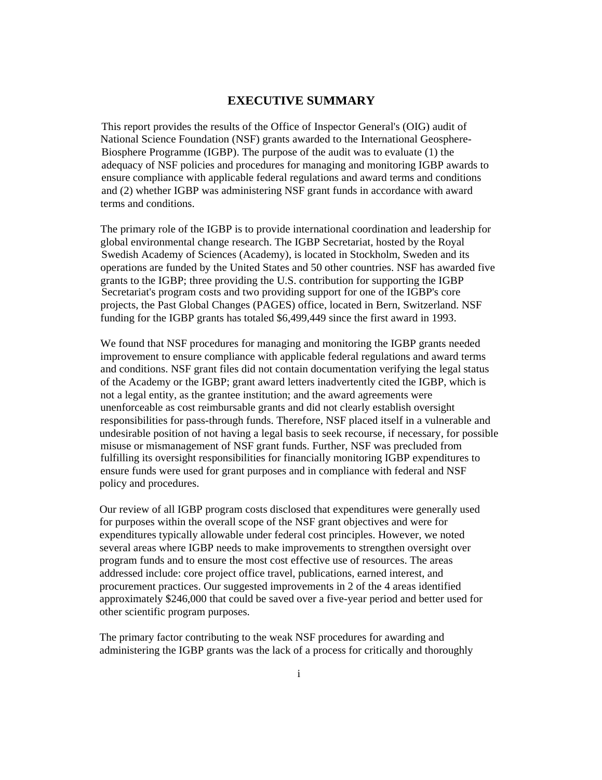### **EXECUTIVE SUMMARY**

This report provides the results of the Office of Inspector General's (OIG) audit of National Science Foundation (NSF) grants awarded to the International Geosphere-Biosphere Programme (IGBP). The purpose of the audit was to evaluate (1) the adequacy of NSF policies and procedures for managing and monitoring IGBP awards to ensure compliance with applicable federal regulations and award terms and conditions and (2) whether IGBP was administering NSF grant funds in accordance with award terms and conditions.

The primary role of the IGBP is to provide international coordination and leadership for global environmental change research. The IGBP Secretariat, hosted by the Royal Swedish Academy of Sciences (Academy), is located in Stockholm, Sweden and its operations are funded by the United States and 50 other countries. NSF has awarded five grants to the IGBP; three providing the U.S. contribution for supporting the IGBP Secretariat's program costs and two providing support for one of the IGBP's core projects, the Past Global Changes (PAGES) office, located in Bern, Switzerland. NSF funding for the IGBP grants has totaled \$6,499,449 since the first award in 1993.

We found that NSF procedures for managing and monitoring the IGBP grants needed improvement to ensure compliance with applicable federal regulations and award terms and conditions. NSF grant files did not contain documentation verifying the legal status of the Academy or the IGBP; grant award letters inadvertently cited the IGBP, which is not a legal entity, as the grantee institution; and the award agreements were unenforceable as cost reimbursable grants and did not clearly establish oversight responsibilities for pass-through funds. Therefore, NSF placed itself in a vulnerable and undesirable position of not having a legal basis to seek recourse, if necessary, for possible misuse or mismanagement of NSF grant funds. Further, NSF was precluded from fulfilling its oversight responsibilities for financially monitoring IGBP expenditures to ensure funds were used for grant purposes and in compliance with federal and NSF policy and procedures.

Our review of all IGBP program costs disclosed that expenditures were generally used for purposes within the overall scope of the NSF grant objectives and were for expenditures typically allowable under federal cost principles. However, we noted several areas where IGBP needs to make improvements to strengthen oversight over program funds and to ensure the most cost effective use of resources. The areas addressed include: core project office travel, publications, earned interest, and procurement practices. Our suggested improvements in 2 of the 4 areas identified approximately \$246,000 that could be saved over a five-year period and better used for other scientific program purposes.

The primary factor contributing to the weak NSF procedures for awarding and administering the IGBP grants was the lack of a process for critically and thoroughly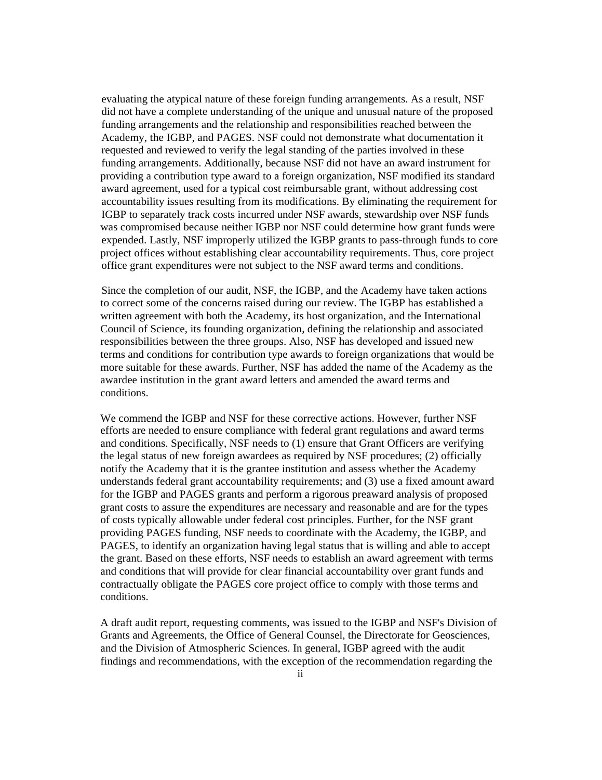evaluating the atypical nature of these foreign funding arrangements. As a result, NSF did not have a complete understanding of the unique and unusual nature of the proposed funding arrangements and the relationship and responsibilities reached between the Academy, the IGBP, and PAGES. NSF could not demonstrate what documentation it requested and reviewed to verify the legal standing of the parties involved in these funding arrangements. Additionally, because NSF did not have an award instrument for providing a contribution type award to a foreign organization, NSF modified its standard award agreement, used for a typical cost reimbursable grant, without addressing cost accountability issues resulting from its modifications. By eliminating the requirement for IGBP to separately track costs incurred under NSF awards, stewardship over NSF funds was compromised because neither IGBP nor NSF could determine how grant funds were expended. Lastly, NSF improperly utilized the IGBP grants to pass-through funds to core project offices without establishing clear accountability requirements. Thus, core project office grant expenditures were not subject to the NSF award terms and conditions.

Since the completion of our audit, NSF, the IGBP, and the Academy have taken actions to correct some of the concerns raised during our review. The IGBP has established a written agreement with both the Academy, its host organization, and the International Council of Science, its founding organization, defining the relationship and associated responsibilities between the three groups. Also, NSF has developed and issued new terms and conditions for contribution type awards to foreign organizations that would be more suitable for these awards. Further, NSF has added the name of the Academy as the awardee institution in the grant award letters and amended the award terms and conditions.

We commend the IGBP and NSF for these corrective actions. However, further NSF efforts are needed to ensure compliance with federal grant regulations and award terms and conditions. Specifically, NSF needs to (1) ensure that Grant Officers are verifying the legal status of new foreign awardees as required by NSF procedures; (2) officially notify the Academy that it is the grantee institution and assess whether the Academy understands federal grant accountability requirements; and (3) use a fixed amount award for the IGBP and PAGES grants and perform a rigorous preaward analysis of proposed grant costs to assure the expenditures are necessary and reasonable and are for the types of costs typically allowable under federal cost principles. Further, for the NSF grant providing PAGES funding, NSF needs to coordinate with the Academy, the IGBP, and PAGES, to identify an organization having legal status that is willing and able to accept the grant. Based on these efforts, NSF needs to establish an award agreement with terms and conditions that will provide for clear financial accountability over grant funds and contractually obligate the PAGES core project office to comply with those terms and conditions.

A draft audit report, requesting comments, was issued to the IGBP and NSF's Division of Grants and Agreements, the Office of General Counsel, the Directorate for Geosciences, and the Division of Atmospheric Sciences. In general, IGBP agreed with the audit findings and recommendations, with the exception of the recommendation regarding the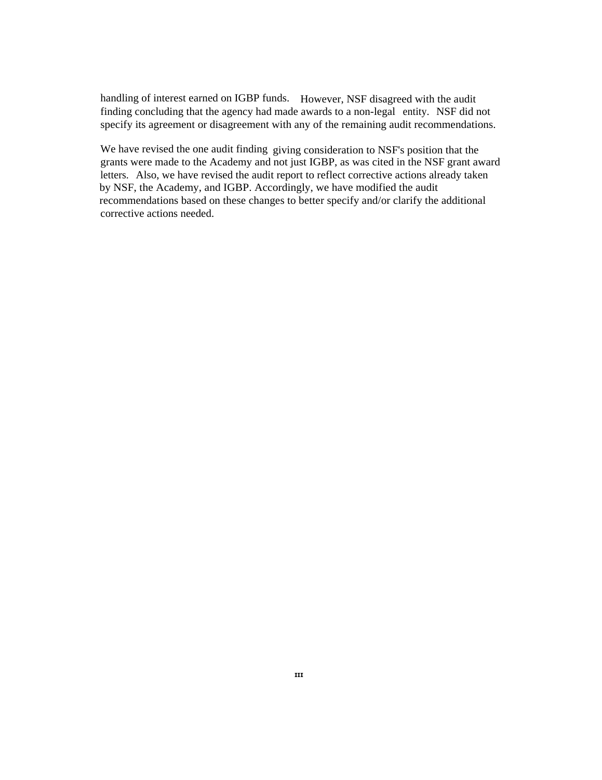handling of interest earned on IGBP funds. However, NSF disagreed with the audit finding concluding that the agency had made awards to a non-legal entity. NSF did not specify its agreement or disagreement with any of the remaining audit recommendations.

We have revised the one audit finding giving consideration to NSF's position that the grants were made to the Academy and not just IGBP, as was cited in the NSF grant award letters. Also, we have revised the audit report to reflect corrective actions already taken by NSF, the Academy, and IGBP. Accordingly, we have modified the audit recommendations based on these changes to better specify and/or clarify the additional corrective actions needed.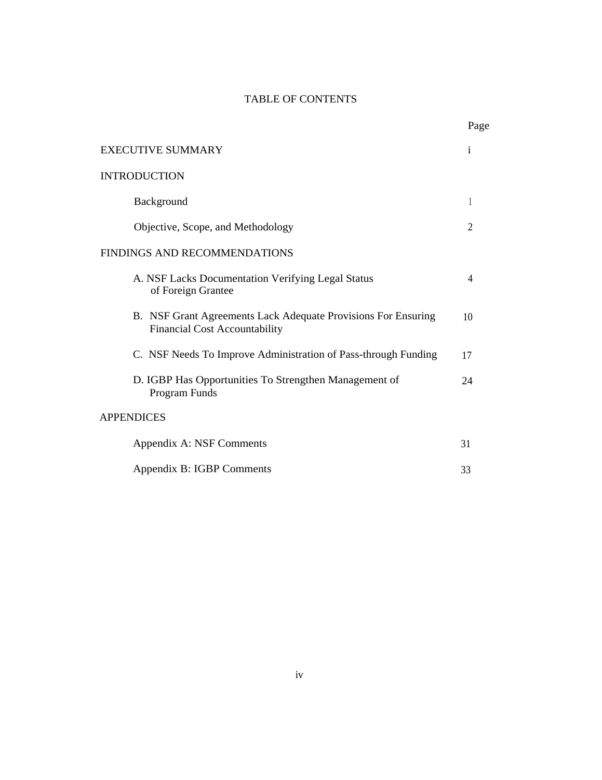# TABLE OF CONTENTS

Page

| <b>EXECUTIVE SUMMARY</b>                                                                              |                |
|-------------------------------------------------------------------------------------------------------|----------------|
| <b>INTRODUCTION</b>                                                                                   |                |
| Background                                                                                            | $\mathbf{I}$   |
| Objective, Scope, and Methodology                                                                     | $\overline{2}$ |
| FINDINGS AND RECOMMENDATIONS                                                                          |                |
| A. NSF Lacks Documentation Verifying Legal Status<br>of Foreign Grantee                               | 4              |
| B. NSF Grant Agreements Lack Adequate Provisions For Ensuring<br><b>Financial Cost Accountability</b> | 10             |
| C. NSF Needs To Improve Administration of Pass-through Funding                                        | 17             |
| D. IGBP Has Opportunities To Strengthen Management of<br>Program Funds                                | 24             |
| <b>APPENDICES</b>                                                                                     |                |
| Appendix A: NSF Comments                                                                              | 31             |
| Appendix B: IGBP Comments                                                                             | 33             |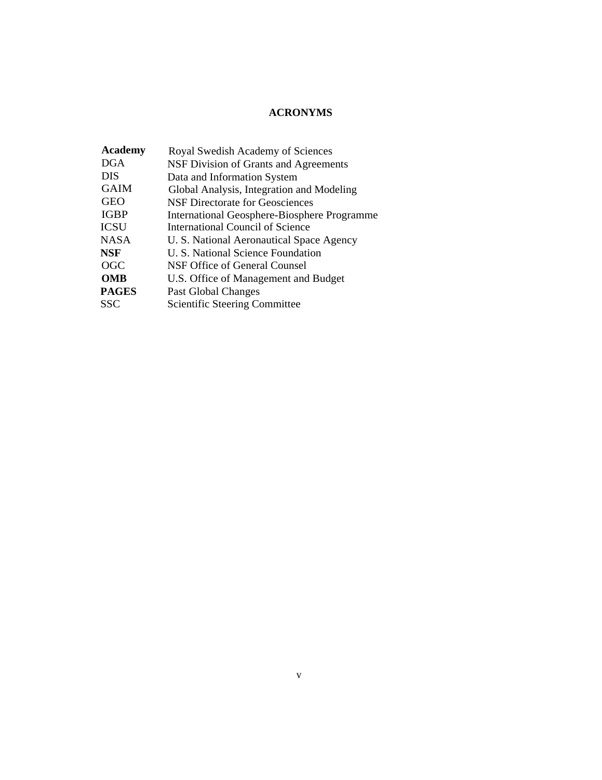## **ACRONYMS**

| <b>Academy</b> | Royal Swedish Academy of Sciences                  |
|----------------|----------------------------------------------------|
| <b>DGA</b>     | NSF Division of Grants and Agreements              |
| <b>DIS</b>     | Data and Information System                        |
| <b>GAIM</b>    | Global Analysis, Integration and Modeling          |
| <b>GEO</b>     | NSF Directorate for Geosciences                    |
| <b>IGBP</b>    | <b>International Geosphere-Biosphere Programme</b> |
| <b>ICSU</b>    | International Council of Science                   |
| <b>NASA</b>    | U. S. National Aeronautical Space Agency           |
| <b>NSF</b>     | U. S. National Science Foundation                  |
| <b>OGC</b>     | NSF Office of General Counsel                      |
| <b>OMB</b>     | U.S. Office of Management and Budget               |
| <b>PAGES</b>   | Past Global Changes                                |
| <b>SSC</b>     | Scientific Steering Committee                      |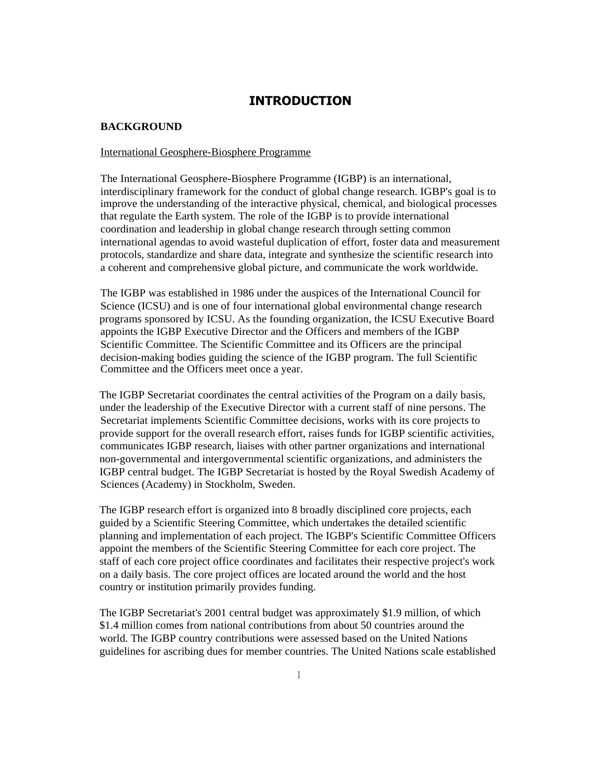## **INTRODUCTION**

### **BACKGROUND**

### International Geosphere-Biosphere Programme

The International Geosphere-Biosphere Programme (IGBP) is an international, interdisciplinary framework for the conduct of global change research. IGBP's goal is to improve the understanding of the interactive physical, chemical, and biological processes that regulate the Earth system. The role of the IGBP is to provide international coordination and leadership in global change research through setting common international agendas to avoid wasteful duplication of effort, foster data and measurement protocols, standardize and share data, integrate and synthesize the scientific research into a coherent and comprehensive global picture, and communicate the work worldwide.

The IGBP was established in 1986 under the auspices of the International Council for Science (ICSU) and is one of four international global environmental change research programs sponsored by ICSU. As the founding organization, the ICSU Executive Board appoints the IGBP Executive Director and the Officers and members of the IGBP Scientific Committee. The Scientific Committee and its Officers are the principal decision-making bodies guiding the science of the IGBP program. The full Scientific Committee and the Officers meet once a year.

The IGBP Secretariat coordinates the central activities of the Program on a daily basis, under the leadership of the Executive Director with a current staff of nine persons. The Secretariat implements Scientific Committee decisions, works with its core projects to provide support for the overall research effort, raises funds for IGBP scientific activities, communicates IGBP research, liaises with other partner organizations and international non-governmental and intergovernmental scientific organizations, and administers the IGBP central budget. The IGBP Secretariat is hosted by the Royal Swedish Academy of Sciences (Academy) in Stockholm, Sweden.

The IGBP research effort is organized into 8 broadly disciplined core projects, each guided by a Scientific Steering Committee, which undertakes the detailed scientific planning and implementation of each project. The IGBP's Scientific Committee Officers appoint the members of the Scientific Steering Committee for each core project. The staff of each core project office coordinates and facilitates their respective project's work on a daily basis. The core project offices are located around the world and the host country or institution primarily provides funding.

The IGBP Secretariat's 2001 central budget was approximately \$1.9 million, of which \$1.4 million comes from national contributions from about 50 countries around the world. The IGBP country contributions were assessed based on the United Nations guidelines for ascribing dues for member countries. The United Nations scale established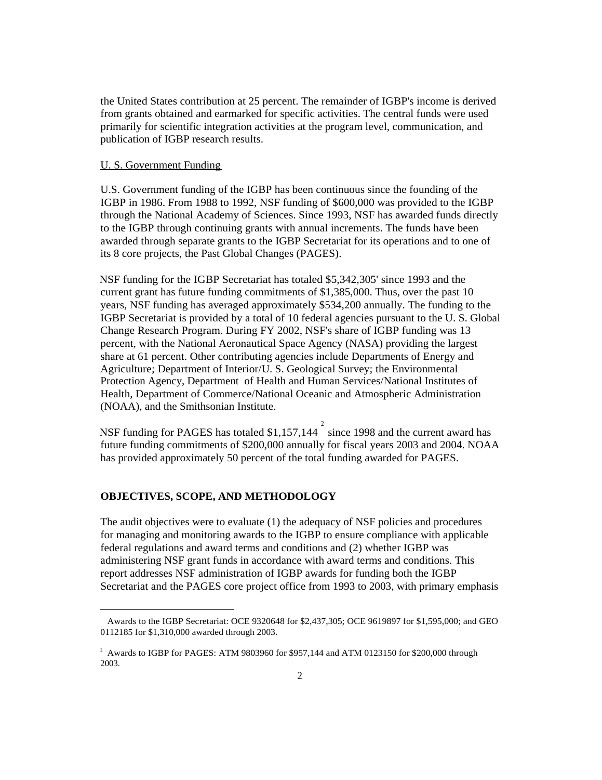the United States contribution at 25 percent. The remainder of IGBP's income is derived from grants obtained and earmarked for specific activities. The central funds were used primarily for scientific integration activities at the program level, communication, and publication of IGBP research results.

### U. S. Government Funding

U.S. Government funding of the IGBP has been continuous since the founding of the IGBP in 1986. From 1988 to 1992, NSF funding of \$600,000 was provided to the IGBP through the National Academy of Sciences. Since 1993, NSF has awarded funds directly to the IGBP through continuing grants with annual increments. The funds have been awarded through separate grants to the IGBP Secretariat for its operations and to one of its 8 core projects, the Past Global Changes (PAGES).

NSF funding for the IGBP Secretariat has totaled \$5,342,305' since 1993 and the current grant has future funding commitments of \$1,385,000. Thus, over the past 10 years, NSF funding has averaged approximately \$534,200 annually. The funding to the IGBP Secretariat is provided by a total of 10 federal agencies pursuant to the U. S. Global Change Research Program. During FY 2002, NSF's share of IGBP funding was 13 percent, with the National Aeronautical Space Agency (NASA) providing the largest share at 61 percent. Other contributing agencies include Departments of Energy and Agriculture; Department of Interior/U. S. Geological Survey; the Environmental Protection Agency, Department of Health and Human Services/National Institutes of Health, Department of Commerce/National Oceanic and Atmospheric Administration (NOAA), and the Smithsonian Institute.

NSF funding for PAGES has totaled \$1,157,144  $\frac{1}{2}$  since 1998 and the current award has future funding commitments of \$200,000 annually for fiscal years 2003 and 2004. NOAA has provided approximately 50 percent of the total funding awarded for PAGES.

#### **OBJECTIVES, SCOPE, AND METHODOLOGY**

The audit objectives were to evaluate (1) the adequacy of NSF policies and procedures for managing and monitoring awards to the IGBP to ensure compliance with applicable federal regulations and award terms and conditions and (2) whether IGBP was administering NSF grant funds in accordance with award terms and conditions. This report addresses NSF administration of IGBP awards for funding both the IGBP Secretariat and the PAGES core project office from 1993 to 2003, with primary emphasis

Awards to the IGBP Secretariat: OCE 9320648 for \$2,437,305; OCE 9619897 for \$1,595,000; and GEO 0112185 for \$1,310,000 awarded through 2003.

 $2$  Awards to IGBP for PAGES: ATM 9803960 for \$957,144 and ATM 0123150 for \$200,000 through 2003.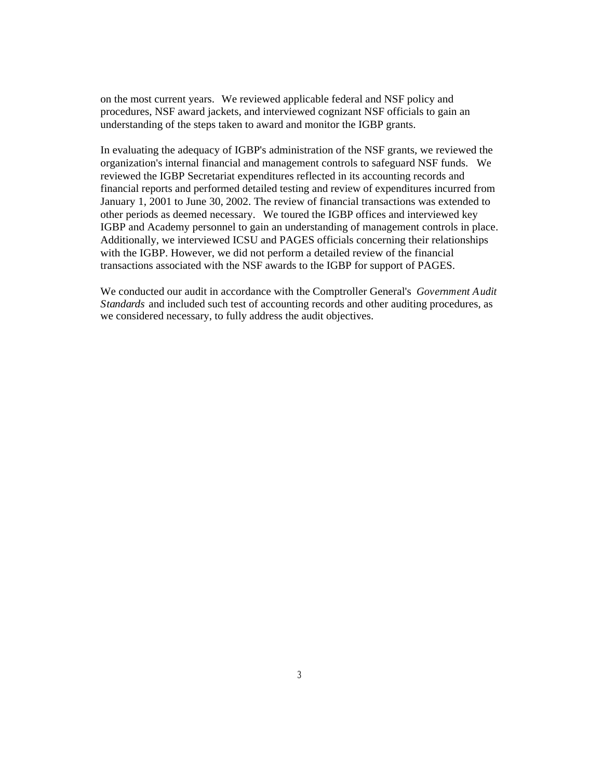on the most current years. We reviewed applicable federal and NSF policy and procedures, NSF award jackets, and interviewed cognizant NSF officials to gain an understanding of the steps taken to award and monitor the IGBP grants.

In evaluating the adequacy of IGBP's administration of the NSF grants, we reviewed the organization's internal financial and management controls to safeguard NSF funds. We reviewed the IGBP Secretariat expenditures reflected in its accounting records and financial reports and performed detailed testing and review of expenditures incurred from January 1, 2001 to June 30, 2002. The review of financial transactions was extended to other periods as deemed necessary. We toured the IGBP offices and interviewed key IGBP and Academy personnel to gain an understanding of management controls in place. Additionally, we interviewed ICSU and PAGES officials concerning their relationships with the IGBP. However, we did not perform a detailed review of the financial transactions associated with the NSF awards to the IGBP for support of PAGES.

We conducted our audit in accordance with the Comptroller General's *Government Audit Standards* and included such test of accounting records and other auditing procedures, as we considered necessary, to fully address the audit objectives.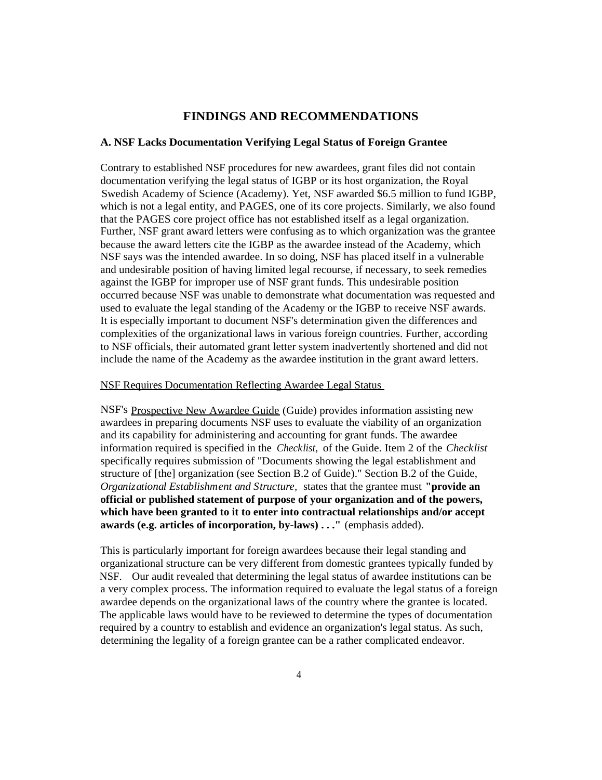### **FINDINGS AND RECOMMENDATIONS**

### **A. NSF Lacks Documentation Verifying Legal Status of Foreign Grantee**

Contrary to established NSF procedures for new awardees, grant files did not contain documentation verifying the legal status of IGBP or its host organization, the Royal Swedish Academy of Science (Academy). Yet, NSF awarded \$6.5 million to fund IGBP, which is not a legal entity, and PAGES, one of its core projects. Similarly, we also found that the PAGES core project office has not established itself as a legal organization. Further, NSF grant award letters were confusing as to which organization was the grantee because the award letters cite the IGBP as the awardee instead of the Academy, which NSF says was the intended awardee. In so doing, NSF has placed itself in a vulnerable and undesirable position of having limited legal recourse, if necessary, to seek remedies against the IGBP for improper use of NSF grant funds. This undesirable position occurred because NSF was unable to demonstrate what documentation was requested and used to evaluate the legal standing of the Academy or the IGBP to receive NSF awards. It is especially important to document NSF's determination given the differences and complexities of the organizational laws in various foreign countries. Further, according to NSF officials, their automated grant letter system inadvertently shortened and did not include the name of the Academy as the awardee institution in the grant award letters.

### NSF Requires Documentation Reflecting Awardee Legal Status

NSF's Prospective New Awardee Guide (Guide) provides information assisting new awardees in preparing documents NSF uses to evaluate the viability of an organization and its capability for administering and accounting for grant funds. The awardee information required is specified in the *Checklist,* of the Guide. Item 2 of the *Checklist* specifically requires submission of "Documents showing the legal establishment and structure of [the] organization (see Section B.2 of Guide)." Section B.2 of the Guide, *Organizational Establishment and Structure,* states that the grantee must **"provide an official or published statement of purpose of your organization and of the powers, which have been granted to it to enter into contractual relationships and/or accept awards (e.g. articles of incorporation, by-laws) . . ."** (emphasis added).

This is particularly important for foreign awardees because their legal standing and organizational structure can be very different from domestic grantees typically funded by NSF. Our audit revealed that determining the legal status of awardee institutions can be a very complex process. The information required to evaluate the legal status of a foreign awardee depends on the organizational laws of the country where the grantee is located. The applicable laws would have to be reviewed to determine the types of documentation required by a country to establish and evidence an organization's legal status. As such, determining the legality of a foreign grantee can be a rather complicated endeavor.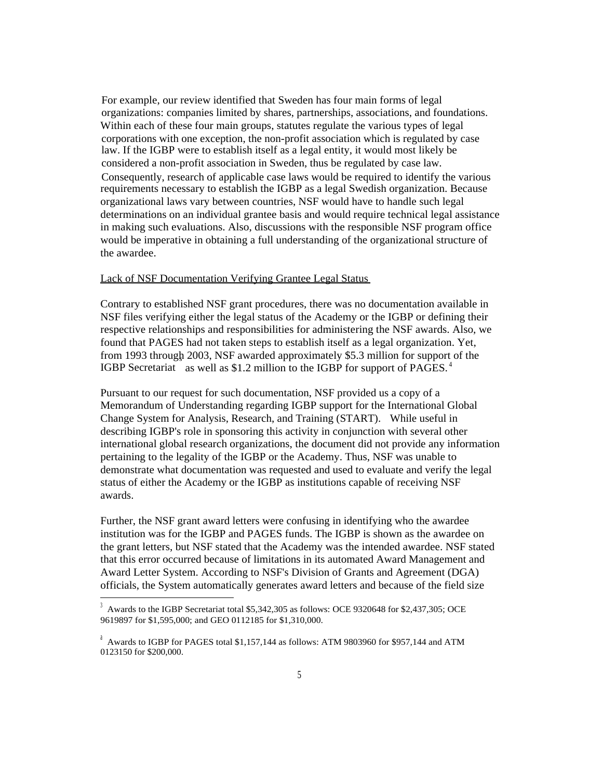For example, our review identified that Sweden has four main forms of legal organizations: companies limited by shares, partnerships, associations, and foundations. Within each of these four main groups, statutes regulate the various types of legal corporations with one exception, the non-profit association which is regulated by case law. If the IGBP were to establish itself as a legal entity, it would most likely be considered a non-profit association in Sweden, thus be regulated by case law. Consequently, research of applicable case laws would be required to identify the various requirements necessary to establish the IGBP as a legal Swedish organization. Because organizational laws vary between countries, NSF would have to handle such legal determinations on an individual grantee basis and would require technical legal assistance in making such evaluations. Also, discussions with the responsible NSF program office would be imperative in obtaining a full understanding of the organizational structure of the awardee.

#### Lack of NSF Documentation Verifying Grantee Legal Status

Contrary to established NSF grant procedures, there was no documentation available in NSF files verifying either the legal status of the Academy or the IGBP or defining their respective relationships and responsibilities for administering the NSF awards. Also, we found that PAGES had not taken steps to establish itself as a legal organization. Yet, from 1993 through 2003, NSF awarded approximately \$5.3 million for support of the s IGBP Secretariat as well as \$1.2 million to the IGBP for support of PAGES.<sup>4</sup>

Pursuant to our request for such documentation, NSF provided us a copy of a Memorandum of Understanding regarding IGBP support for the International Global Change System for Analysis, Research, and Training (START). While useful in describing IGBP's role in sponsoring this activity in conjunction with several other international global research organizations, the document did not provide any information pertaining to the legality of the IGBP or the Academy. Thus, NSF was unable to demonstrate what documentation was requested and used to evaluate and verify the legal status of either the Academy or the IGBP as institutions capable of receiving NSF awards.

Further, the NSF grant award letters were confusing in identifying who the awardee institution was for the IGBP and PAGES funds. The IGBP is shown as the awardee on the grant letters, but NSF stated that the Academy was the intended awardee. NSF stated that this error occurred because of limitations in its automated Award Management and Award Letter System. According to NSF's Division of Grants and Agreement (DGA) officials, the System automatically generates award letters and because of the field size

<sup>3</sup> Awards to the IGBP Secretariat total \$5,342,305 as follows: OCE 9320648 for \$2,437,305; OCE 9619897 for \$1,595,000; and GEO 0112185 for \$1,310,000.

 $^{\circ}$  Awards to IGBP for PAGES total \$1,157,144 as follows: ATM 9803960 for \$957,144 and ATM 0123150 for \$200,000.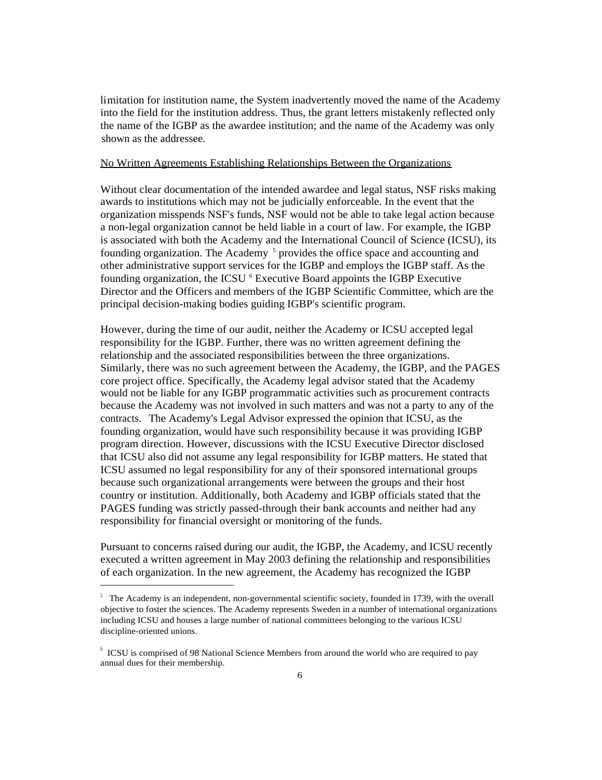limitation for institution name, the System inadvertently moved the name of the Academy into the field for the institution address. Thus, the grant letters mistakenly reflected only the name of the IGBP as the awardee institution; and the name of the Academy was only shown as the addressee.

### No Written Agreements Establishing Relationships Between the Organizations

Without clear documentation of the intended awardee and legal status, NSF risks making awards to institutions which may not be judicially enforceable. In the event that the organization misspends NSF's funds, NSF would not be able to take legal action because a non-legal organization cannot be held liable in a court of law. For example, the IGBP is associated with both the Academy and the International Council of Science (ICSU), its founding organization. The Academy <sup>5</sup> provides the office space and accounting and other administrative support services for the IGBP and employs the IGBP staff. As the founding organization, the ICSU <sup>6</sup> Executive Board appoints the IGBP Executive Director and the Officers and members of the IGBP Scientific Committee, which are the principal decision-making bodies guiding IGBP's scientific program.

However, during the time of our audit, neither the Academy or ICSU accepted legal responsibility for the IGBP. Further, there was no written agreement defining the relationship and the associated responsibilities between the three organizations. Similarly, there was no such agreement between the Academy, the IGBP, and the PAGES core project office. Specifically, the Academy legal advisor stated that the Academy would not be liable for any IGBP programmatic activities such as procurement contracts because the Academy was not involved in such matters and was not a party to any of the contracts. The Academy's Legal Advisor expressed the opinion that ICSU, as the founding organization, would have such responsibility because it was providing IGBP program direction. However, discussions with the ICSU Executive Director disclosed that ICSU also did not assume any legal responsibility for IGBP matters. He stated that ICSU assumed no legal responsibility for any of their sponsored international groups because such organizational arrangements were between the groups and their host country or institution. Additionally, both Academy and IGBP officials stated that the PAGES funding was strictly passed-through their bank accounts and neither had any responsibility for financial oversight or monitoring of the funds.

Pursuant to concerns raised during our audit, the IGBP, the Academy, and ICSU recently executed a written agreement in May 2003 defining the relationship and responsibilities of each organization. In the new agreement, the Academy has recognized the IGBP

 $5$  The Academy is an independent, non-governmental scientific society, founded in 1739, with the overall objective to foster the sciences. The Academy represents Sweden in a number of international organizations including ICSU and houses a large number of national committees belonging to the various ICSU discipline-oriented unions.

<sup>6</sup> ICSU is comprised of 98 National Science Members from around the world who are required to pay annual dues for their membership.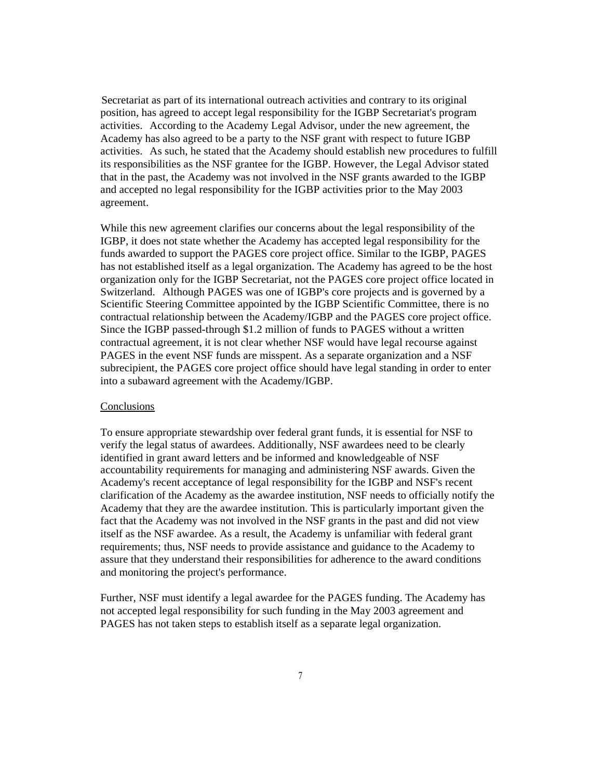Secretariat as part of its international outreach activities and contrary to its original position, has agreed to accept legal responsibility for the IGBP Secretariat's program activities. According to the Academy Legal Advisor, under the new agreement, the Academy has also agreed to be a party to the NSF grant with respect to future IGBP activities. As such, he stated that the Academy should establish new procedures to fulfill its responsibilities as the NSF grantee for the IGBP. However, the Legal Advisor stated that in the past, the Academy was not involved in the NSF grants awarded to the IGBP and accepted no legal responsibility for the IGBP activities prior to the May 2003 agreement.

While this new agreement clarifies our concerns about the legal responsibility of the IGBP, it does not state whether the Academy has accepted legal responsibility for the funds awarded to support the PAGES core project office. Similar to the IGBP, PAGES has not established itself as a legal organization. The Academy has agreed to be the host organization only for the IGBP Secretariat, not the PAGES core project office located in Switzerland. Although PAGES was one of IGBP's core projects and is governed by a Scientific Steering Committee appointed by the IGBP Scientific Committee, there is no contractual relationship between the Academy/IGBP and the PAGES core project office. Since the IGBP passed-through \$1.2 million of funds to PAGES without a written contractual agreement, it is not clear whether NSF would have legal recourse against PAGES in the event NSF funds are misspent. As a separate organization and a NSF subrecipient, the PAGES core project office should have legal standing in order to enter into a subaward agreement with the Academy/IGBP.

### **Conclusions**

To ensure appropriate stewardship over federal grant funds, it is essential for NSF to verify the legal status of awardees. Additionally, NSF awardees need to be clearly identified in grant award letters and be informed and knowledgeable of NSF accountability requirements for managing and administering NSF awards. Given the Academy's recent acceptance of legal responsibility for the IGBP and NSF's recent clarification of the Academy as the awardee institution, NSF needs to officially notify the Academy that they are the awardee institution. This is particularly important given the fact that the Academy was not involved in the NSF grants in the past and did not view itself as the NSF awardee. As a result, the Academy is unfamiliar with federal grant requirements; thus, NSF needs to provide assistance and guidance to the Academy to assure that they understand their responsibilities for adherence to the award conditions and monitoring the project's performance.

Further, NSF must identify a legal awardee for the PAGES funding. The Academy has not accepted legal responsibility for such funding in the May 2003 agreement and PAGES has not taken steps to establish itself as a separate legal organization.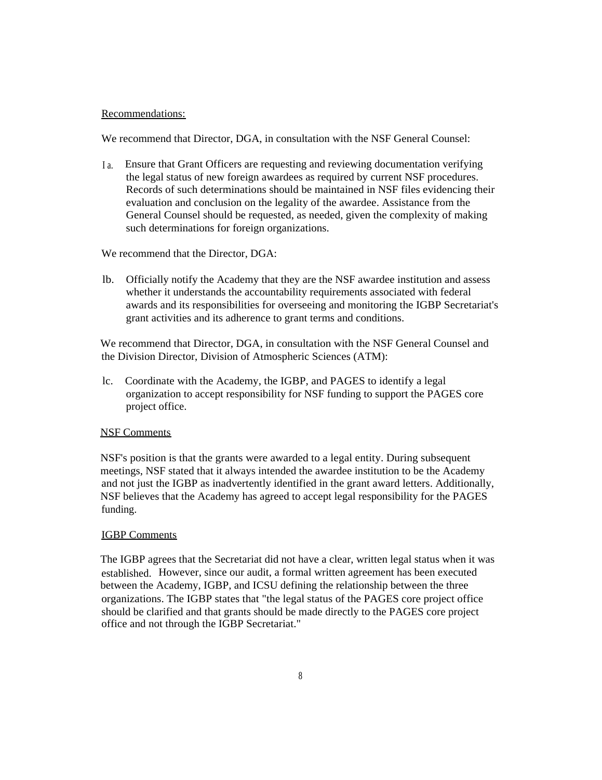### Recommendations:

We recommend that Director, DGA, in consultation with the NSF General Counsel:

I a. Ensure that Grant Officers are requesting and reviewing documentation verifying the legal status of new foreign awardees as required by current NSF procedures. Records of such determinations should be maintained in NSF files evidencing their evaluation and conclusion on the legality of the awardee. Assistance from the General Counsel should be requested, as needed, given the complexity of making such determinations for foreign organizations.

We recommend that the Director, DGA:

lb. Officially notify the Academy that they are the NSF awardee institution and assess whether it understands the accountability requirements associated with federal awards and its responsibilities for overseeing and monitoring the IGBP Secretariat's grant activities and its adherence to grant terms and conditions.

We recommend that Director, DGA, in consultation with the NSF General Counsel and the Division Director, Division of Atmospheric Sciences (ATM):

lc. Coordinate with the Academy, the IGBP, and PAGES to identify a legal organization to accept responsibility for NSF funding to support the PAGES core project office.

### NSF Comments

NSF's position is that the grants were awarded to a legal entity. During subsequent meetings, NSF stated that it always intended the awardee institution to be the Academy and not just the IGBP as inadvertently identified in the grant award letters. Additionally, NSF believes that the Academy has agreed to accept legal responsibility for the PAGES funding.

### IGBP Comments

The IGBP agrees that the Secretariat did not have a clear, written legal status when it was established. However, since our audit, a formal written agreement has been executed between the Academy, IGBP, and ICSU defining the relationship between the three organizations. The IGBP states that "the legal status of the PAGES core project office should be clarified and that grants should be made directly to the PAGES core project office and not through the IGBP Secretariat."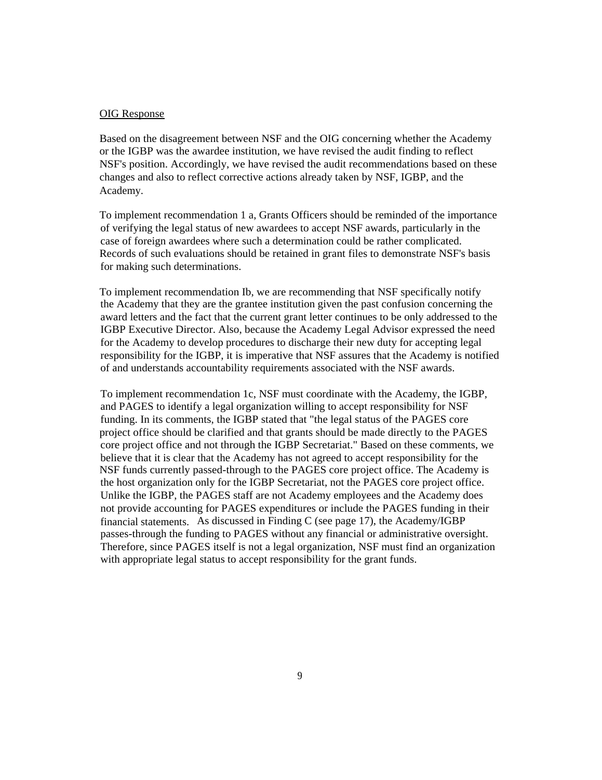#### OIG Response

Based on the disagreement between NSF and the OIG concerning whether the Academy or the IGBP was the awardee institution, we have revised the audit finding to reflect NSF's position. Accordingly, we have revised the audit recommendations based on these changes and also to reflect corrective actions already taken by NSF, IGBP, and the Academy.

To implement recommendation 1 a, Grants Officers should be reminded of the importance of verifying the legal status of new awardees to accept NSF awards, particularly in the case of foreign awardees where such a determination could be rather complicated. Records of such evaluations should be retained in grant files to demonstrate NSF's basis for making such determinations.

To implement recommendation Ib, we are recommending that NSF specifically notify the Academy that they are the grantee institution given the past confusion concerning the award letters and the fact that the current grant letter continues to be only addressed to the IGBP Executive Director. Also, because the Academy Legal Advisor expressed the need for the Academy to develop procedures to discharge their new duty for accepting legal responsibility for the IGBP, it is imperative that NSF assures that the Academy is notified of and understands accountability requirements associated with the NSF awards.

To implement recommendation 1c, NSF must coordinate with the Academy, the IGBP, and PAGES to identify a legal organization willing to accept responsibility for NSF funding. In its comments, the IGBP stated that "the legal status of the PAGES core project office should be clarified and that grants should be made directly to the PAGES core project office and not through the IGBP Secretariat." Based on these comments, we believe that it is clear that the Academy has not agreed to accept responsibility for the NSF funds currently passed-through to the PAGES core project office. The Academy is the host organization only for the IGBP Secretariat, not the PAGES core project office. Unlike the IGBP, the PAGES staff are not Academy employees and the Academy does not provide accounting for PAGES expenditures or include the PAGES funding in their financial statements. As discussed in Finding C (see page 17), the Academy/IGBP passes-through the funding to PAGES without any financial or administrative oversight. Therefore, since PAGES itself is not a legal organization, NSF must find an organization with appropriate legal status to accept responsibility for the grant funds.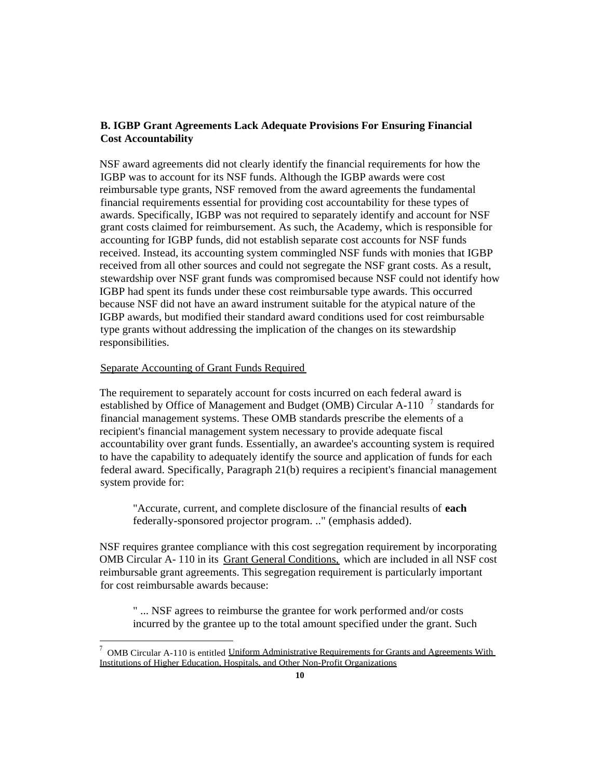### **B. IGBP Grant Agreements Lack Adequate Provisions For Ensuring Financial Cost Accountability**

NSF award agreements did not clearly identify the financial requirements for how the IGBP was to account for its NSF funds. Although the IGBP awards were cost reimbursable type grants, NSF removed from the award agreements the fundamental financial requirements essential for providing cost accountability for these types of awards. Specifically, IGBP was not required to separately identify and account for NSF grant costs claimed for reimbursement. As such, the Academy, which is responsible for accounting for IGBP funds, did not establish separate cost accounts for NSF funds received. Instead, its accounting system commingled NSF funds with monies that IGBP received from all other sources and could not segregate the NSF grant costs. As a result, stewardship over NSF grant funds was compromised because NSF could not identify how IGBP had spent its funds under these cost reimbursable type awards. This occurred because NSF did not have an award instrument suitable for the atypical nature of the IGBP awards, but modified their standard award conditions used for cost reimbursable type grants without addressing the implication of the changes on its stewardship responsibilities.

### Separate Accounting of Grant Funds Required

The requirement to separately account for costs incurred on each federal award is established by Office of Management and Budget (OMB) Circular A-110  $^{-7}$  standards for financial management systems. These OMB standards prescribe the elements of a recipient's financial management system necessary to provide adequate fiscal accountability over grant funds. Essentially, an awardee's accounting system is required to have the capability to adequately identify the source and application of funds for each federal award. Specifically, Paragraph 21(b) requires a recipient's financial management system provide for:

"Accurate, current, and complete disclosure of the financial results of **each** federally-sponsored projector program. .." (emphasis added).

NSF requires grantee compliance with this cost segregation requirement by incorporating OMB Circular A- 110 in its Grant General Conditions, which are included in all NSF cost reimbursable grant agreements. This segregation requirement is particularly important for cost reimbursable awards because:

" ... NSF agrees to reimburse the grantee for work performed and/or costs incurred by the grantee up to the total amount specified under the grant. Such

<sup>7</sup> OMB Circular A-110 is entitled Uniform Administrative Requirements for Grants and Agreements With Institutions of Higher Education, Hospitals, and Other Non-Profit Organizations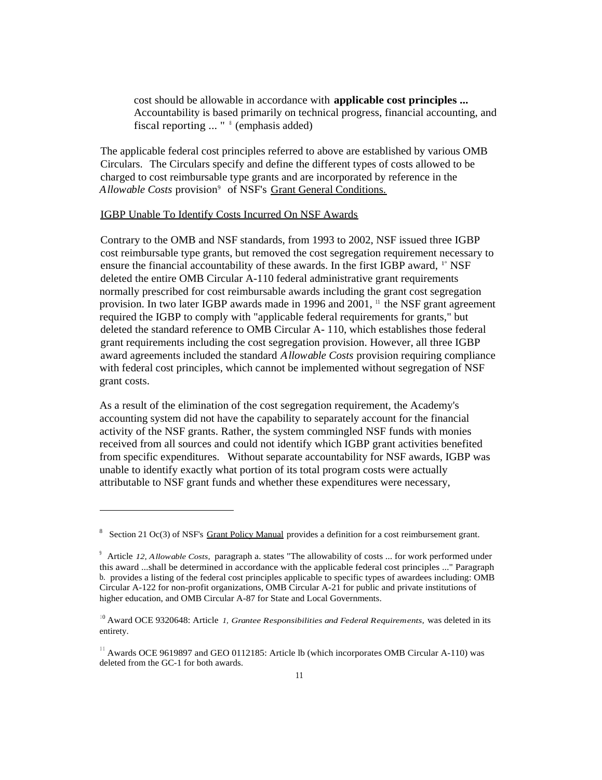cost should be allowable in accordance with **applicable cost principles ...** Accountability is based primarily on technical progress, financial accounting, and fiscal reporting ... " <sup>8</sup> (emphasis added)

The applicable federal cost principles referred to above are established by various OMB Circulars. The Circulars specify and define the different types of costs allowed to be charged to cost reimbursable type grants and are incorporated by reference in the *Allowable Costs* provision<sup>9</sup> of NSF's Grant General Conditions.

### IGBP Unable To Identify Costs Incurred On NSF Awards

Contrary to the OMB and NSF standards, from 1993 to 2002, NSF issued three IGBP cost reimbursable type grants, but removed the cost segregation requirement necessary to ensure the financial accountability of these awards. In the first IGBP award, 1° NSF deleted the entire OMB Circular A-110 federal administrative grant requirements normally prescribed for cost reimbursable awards including the grant cost segregation provision. In two later IGBP awards made in 1996 and 2001,  $\frac{11}{11}$  the NSF grant agreement required the IGBP to comply with "applicable federal requirements for grants," but deleted the standard reference to OMB Circular A- 110, which establishes those federal grant requirements including the cost segregation provision. However, all three IGBP award agreements included the standard *Allowable Costs* provision requiring compliance with federal cost principles, which cannot be implemented without segregation of NSF grant costs.

As a result of the elimination of the cost segregation requirement, the Academy's accounting system did not have the capability to separately account for the financial activity of the NSF grants. Rather, the system commingled NSF funds with monies received from all sources and could not identify which IGBP grant activities benefited from specific expenditures. Without separate accountability for NSF awards, IGBP was unable to identify exactly what portion of its total program costs were actually attributable to NSF grant funds and whether these expenditures were necessary,

<sup>&</sup>lt;sup>8</sup> Section 21 Oc(3) of NSF's Grant Policy Manual provides a definition for a cost reimbursement grant.

<sup>9</sup> Article *12, Allowable Costs,* paragraph a. states "The allowability of costs ... for work performed under this award ...shall be determined in accordance with the applicable federal cost principles ..." Paragraph b. provides a listing of the federal cost principles applicable to specific types of awardees including: OMB Circular A-122 for non-profit organizations, OMB Circular A-21 for public and private institutions of higher education, and OMB Circular A-87 for State and Local Governments.

 $10$  Award OCE 9320648: Article *1, Grantee Responsibilities and Federal Requirements*, was deleted in its entirety.

<sup>&</sup>lt;sup>11</sup> Awards OCE 9619897 and GEO 0112185: Article lb (which incorporates OMB Circular A-110) was deleted from the GC-1 for both awards.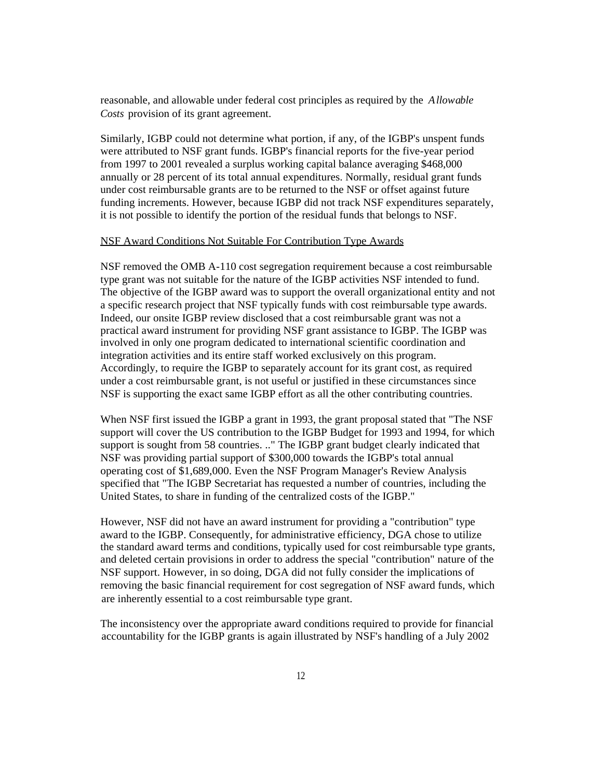reasonable, and allowable under federal cost principles as required by the *Allowable Costs* provision of its grant agreement.

Similarly, IGBP could not determine what portion, if any, of the IGBP's unspent funds were attributed to NSF grant funds. IGBP's financial reports for the five-year period from 1997 to 2001 revealed a surplus working capital balance averaging \$468,000 annually or 28 percent of its total annual expenditures. Normally, residual grant funds under cost reimbursable grants are to be returned to the NSF or offset against future funding increments. However, because IGBP did not track NSF expenditures separately, it is not possible to identify the portion of the residual funds that belongs to NSF.

### NSF Award Conditions Not Suitable For Contribution Type Awards

NSF removed the OMB A-110 cost segregation requirement because a cost reimbursable type grant was not suitable for the nature of the IGBP activities NSF intended to fund. The objective of the IGBP award was to support the overall organizational entity and not a specific research project that NSF typically funds with cost reimbursable type awards. Indeed, our onsite IGBP review disclosed that a cost reimbursable grant was not a practical award instrument for providing NSF grant assistance to IGBP. The IGBP was involved in only one program dedicated to international scientific coordination and integration activities and its entire staff worked exclusively on this program. Accordingly, to require the IGBP to separately account for its grant cost, as required under a cost reimbursable grant, is not useful or justified in these circumstances since NSF is supporting the exact same IGBP effort as all the other contributing countries.

When NSF first issued the IGBP a grant in 1993, the grant proposal stated that "The NSF support will cover the US contribution to the IGBP Budget for 1993 and 1994, for which support is sought from 58 countries. .." The IGBP grant budget clearly indicated that NSF was providing partial support of \$300,000 towards the IGBP's total annual operating cost of \$1,689,000. Even the NSF Program Manager's Review Analysis specified that "The IGBP Secretariat has requested a number of countries, including the United States, to share in funding of the centralized costs of the IGBP."

However, NSF did not have an award instrument for providing a "contribution" type award to the IGBP. Consequently, for administrative efficiency, DGA chose to utilize the standard award terms and conditions, typically used for cost reimbursable type grants, and deleted certain provisions in order to address the special "contribution" nature of the NSF support. However, in so doing, DGA did not fully consider the implications of removing the basic financial requirement for cost segregation of NSF award funds, which are inherently essential to a cost reimbursable type grant.

The inconsistency over the appropriate award conditions required to provide for financial accountability for the IGBP grants is again illustrated by NSF's handling of a July 2002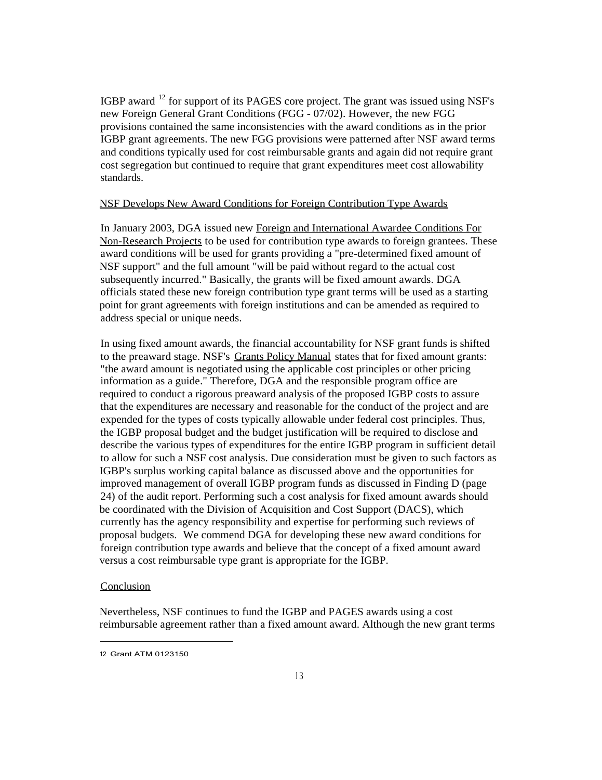IGBP award <sup>12</sup> for support of its PAGES core project. The grant was issued using NSF's new Foreign General Grant Conditions (FGG - 07/02). However, the new FGG provisions contained the same inconsistencies with the award conditions as in the prior IGBP grant agreements. The new FGG provisions were patterned after NSF award terms and conditions typically used for cost reimbursable grants and again did not require grant cost segregation but continued to require that grant expenditures meet cost allowability standards.

### NSF Develops New Award Conditions for Foreign Contribution Type Awards

In January 2003, DGA issued new Foreign and International Awardee Conditions For Non-Research Projects to be used for contribution type awards to foreign grantees. These award conditions will be used for grants providing a "pre-determined fixed amount of NSF support" and the full amount "will be paid without regard to the actual cost subsequently incurred." Basically, the grants will be fixed amount awards. DGA officials stated these new foreign contribution type grant terms will be used as a starting point for grant agreements with foreign institutions and can be amended as required to address special or unique needs.

In using fixed amount awards, the financial accountability for NSF grant funds is shifted to the preaward stage. NSF's Grants Policy Manual states that for fixed amount grants: "the award amount is negotiated using the applicable cost principles or other pricing information as a guide." Therefore, DGA and the responsible program office are required to conduct a rigorous preaward analysis of the proposed IGBP costs to assure that the expenditures are necessary and reasonable for the conduct of the project and are expended for the types of costs typically allowable under federal cost principles. Thus, the IGBP proposal budget and the budget justification will be required to disclose and describe the various types of expenditures for the entire IGBP program in sufficient detail to allow for such a NSF cost analysis. Due consideration must be given to such factors as IGBP's surplus working capital balance as discussed above and the opportunities for improved management of overall IGBP program funds as discussed in Finding D (page 24) of the audit report. Performing such a cost analysis for fixed amount awards should be coordinated with the Division of Acquisition and Cost Support (DACS), which currently has the agency responsibility and expertise for performing such reviews of proposal budgets. We commend DGA for developing these new award conditions for foreign contribution type awards and believe that the concept of a fixed amount award versus a cost reimbursable type grant is appropriate for the IGBP.

### **Conclusion**

Nevertheless, NSF continues to fund the IGBP and PAGES awards using a cost reimbursable agreement rather than a fixed amount award. Although the new grant terms

<sup>12</sup> Grant ATM 0123150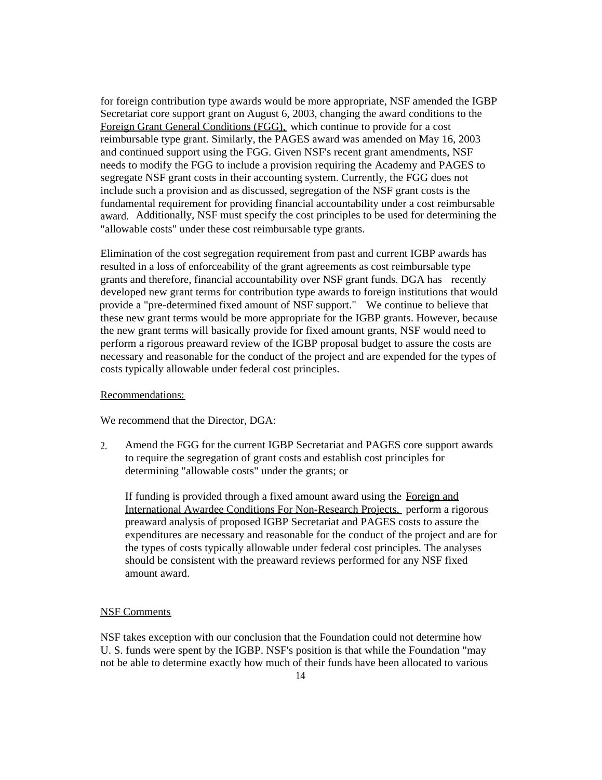for foreign contribution type awards would be more appropriate, NSF amended the IGBP Secretariat core support grant on August 6, 2003, changing the award conditions to the Foreign Grant General Conditions (FGG), which continue to provide for a cost reimbursable type grant. Similarly, the PAGES award was amended on May 16, 2003 and continued support using the FGG. Given NSF's recent grant amendments, NSF needs to modify the FGG to include a provision requiring the Academy and PAGES to segregate NSF grant costs in their accounting system. Currently, the FGG does not include such a provision and as discussed, segregation of the NSF grant costs is the fundamental requirement for providing financial accountability under a cost reimbursable award. Additionally, NSF must specify the cost principles to be used for determining the "allowable costs" under these cost reimbursable type grants.

Elimination of the cost segregation requirement from past and current IGBP awards has resulted in a loss of enforceability of the grant agreements as cost reimbursable type grants and therefore, financial accountability over NSF grant funds. DGA has recently developed new grant terms for contribution type awards to foreign institutions that would provide a "pre-determined fixed amount of NSF support." We continue to believe that these new grant terms would be more appropriate for the IGBP grants. However, because the new grant terms will basically provide for fixed amount grants, NSF would need to perform a rigorous preaward review of the IGBP proposal budget to assure the costs are necessary and reasonable for the conduct of the project and are expended for the types of costs typically allowable under federal cost principles.

#### Recommendations:

We recommend that the Director, DGA:

2. Amend the FGG for the current IGBP Secretariat and PAGES core support awards to require the segregation of grant costs and establish cost principles for determining "allowable costs" under the grants; or

If funding is provided through a fixed amount award using the Foreign and International Awardee Conditions For Non-Research Projects, perform a rigorous preaward analysis of proposed IGBP Secretariat and PAGES costs to assure the expenditures are necessary and reasonable for the conduct of the project and are for the types of costs typically allowable under federal cost principles. The analyses should be consistent with the preaward reviews performed for any NSF fixed amount award.

### NSF Comments

NSF takes exception with our conclusion that the Foundation could not determine how U. S. funds were spent by the IGBP. NSF's position is that while the Foundation "may not be able to determine exactly how much of their funds have been allocated to various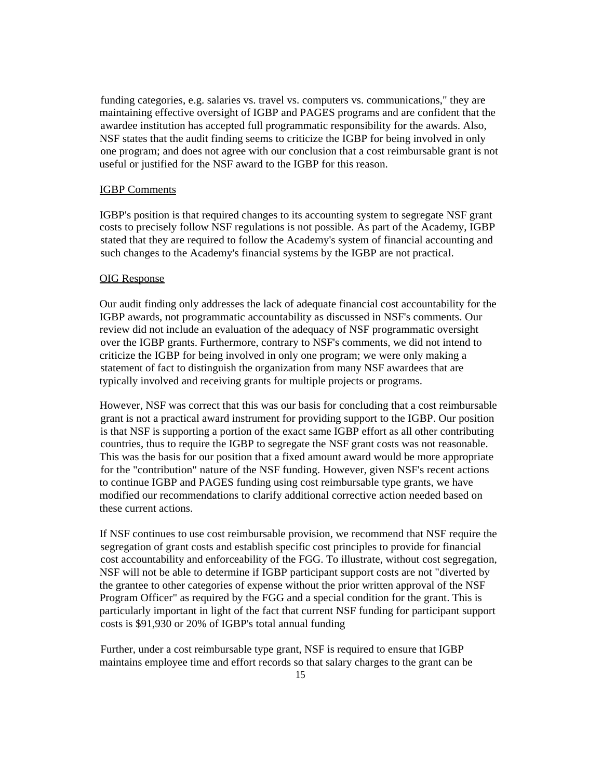funding categories, e.g. salaries vs. travel vs. computers vs. communications," they are maintaining effective oversight of IGBP and PAGES programs and are confident that the awardee institution has accepted full programmatic responsibility for the awards. Also, NSF states that the audit finding seems to criticize the IGBP for being involved in only one program; and does not agree with our conclusion that a cost reimbursable grant is not useful or justified for the NSF award to the IGBP for this reason.

### IGBP Comments

IGBP's position is that required changes to its accounting system to segregate NSF grant costs to precisely follow NSF regulations is not possible. As part of the Academy, IGBP stated that they are required to follow the Academy's system of financial accounting and such changes to the Academy's financial systems by the IGBP are not practical.

#### OIG Response

Our audit finding only addresses the lack of adequate financial cost accountability for the IGBP awards, not programmatic accountability as discussed in NSF's comments. Our review did not include an evaluation of the adequacy of NSF programmatic oversight over the IGBP grants. Furthermore, contrary to NSF's comments, we did not intend to criticize the IGBP for being involved in only one program; we were only making a statement of fact to distinguish the organization from many NSF awardees that are typically involved and receiving grants for multiple projects or programs.

However, NSF was correct that this was our basis for concluding that a cost reimbursable grant is not a practical award instrument for providing support to the IGBP. Our position is that NSF is supporting a portion of the exact same IGBP effort as all other contributing countries, thus to require the IGBP to segregate the NSF grant costs was not reasonable. This was the basis for our position that a fixed amount award would be more appropriate for the "contribution" nature of the NSF funding. However, given NSF's recent actions to continue IGBP and PAGES funding using cost reimbursable type grants, we have modified our recommendations to clarify additional corrective action needed based on these current actions.

If NSF continues to use cost reimbursable provision, we recommend that NSF require the segregation of grant costs and establish specific cost principles to provide for financial cost accountability and enforceability of the FGG. To illustrate, without cost segregation, NSF will not be able to determine if IGBP participant support costs are not "diverted by the grantee to other categories of expense without the prior written approval of the NSF Program Officer" as required by the FGG and a special condition for the grant. This is particularly important in light of the fact that current NSF funding for participant support costs is \$91,930 or 20% of IGBP's total annual funding

Further, under a cost reimbursable type grant, NSF is required to ensure that IGBP maintains employee time and effort records so that salary charges to the grant can be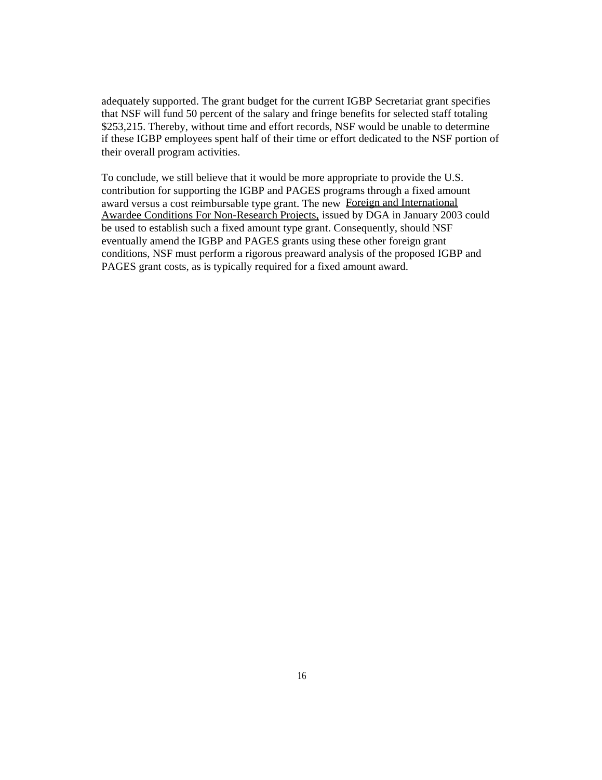adequately supported. The grant budget for the current IGBP Secretariat grant specifies that NSF will fund 50 percent of the salary and fringe benefits for selected staff totaling \$253,215. Thereby, without time and effort records, NSF would be unable to determine if these IGBP employees spent half of their time or effort dedicated to the NSF portion of their overall program activities.

To conclude, we still believe that it would be more appropriate to provide the U.S. contribution for supporting the IGBP and PAGES programs through a fixed amount award versus a cost reimbursable type grant. The new Foreign and International Awardee Conditions For Non-Research Projects, issued by DGA in January 2003 could be used to establish such a fixed amount type grant. Consequently, should NSF eventually amend the IGBP and PAGES grants using these other foreign grant conditions, NSF must perform a rigorous preaward analysis of the proposed IGBP and PAGES grant costs, as is typically required for a fixed amount award.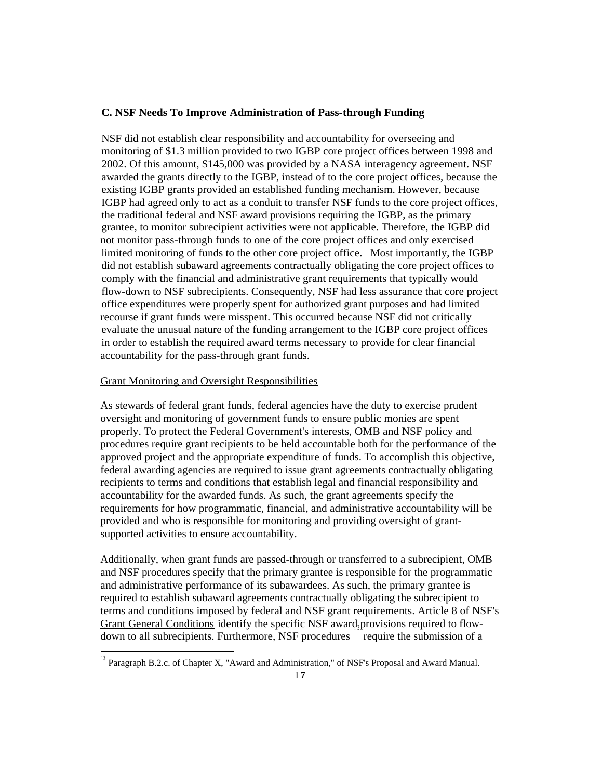### **C. NSF Needs To Improve Administration of Pass-through Funding**

NSF did not establish clear responsibility and accountability for overseeing and monitoring of \$1.3 million provided to two IGBP core project offices between 1998 and 2002. Of this amount, \$145,000 was provided by a NASA interagency agreement. NSF awarded the grants directly to the IGBP, instead of to the core project offices, because the existing IGBP grants provided an established funding mechanism. However, because IGBP had agreed only to act as a conduit to transfer NSF funds to the core project offices, the traditional federal and NSF award provisions requiring the IGBP, as the primary grantee, to monitor subrecipient activities were not applicable. Therefore, the IGBP did not monitor pass-through funds to one of the core project offices and only exercised limited monitoring of funds to the other core project office. Most importantly, the IGBP did not establish subaward agreements contractually obligating the core project offices to comply with the financial and administrative grant requirements that typically would flow-down to NSF subrecipients. Consequently, NSF had less assurance that core project office expenditures were properly spent for authorized grant purposes and had limited recourse if grant funds were misspent. This occurred because NSF did not critically evaluate the unusual nature of the funding arrangement to the IGBP core project offices in order to establish the required award terms necessary to provide for clear financial accountability for the pass-through grant funds.

#### Grant Monitoring and Oversight Responsibilities

As stewards of federal grant funds, federal agencies have the duty to exercise prudent oversight and monitoring of government funds to ensure public monies are spent properly. To protect the Federal Government's interests, OMB and NSF policy and procedures require grant recipients to be held accountable both for the performance of the approved project and the appropriate expenditure of funds. To accomplish this objective, federal awarding agencies are required to issue grant agreements contractually obligating recipients to terms and conditions that establish legal and financial responsibility and accountability for the awarded funds. As such, the grant agreements specify the requirements for how programmatic, financial, and administrative accountability will be provided and who is responsible for monitoring and providing oversight of grantsupported activities to ensure accountability.

Additionally, when grant funds are passed-through or transferred to a subrecipient, OMB and NSF procedures specify that the primary grantee is responsible for the programmatic and administrative performance of its subawardees. As such, the primary grantee is required to establish subaward agreements contractually obligating the subrecipient to terms and conditions imposed by federal and NSF grant requirements. Article 8 of NSF's Grant General Conditions identify the specific NSF award, provisions required to flowdown to all subrecipients. Furthermore, NSF procedures require the submission of a

<sup>&</sup>lt;sup>13</sup> Paragraph B.2.c. of Chapter X, "Award and Administration," of NSF's Proposal and Award Manual.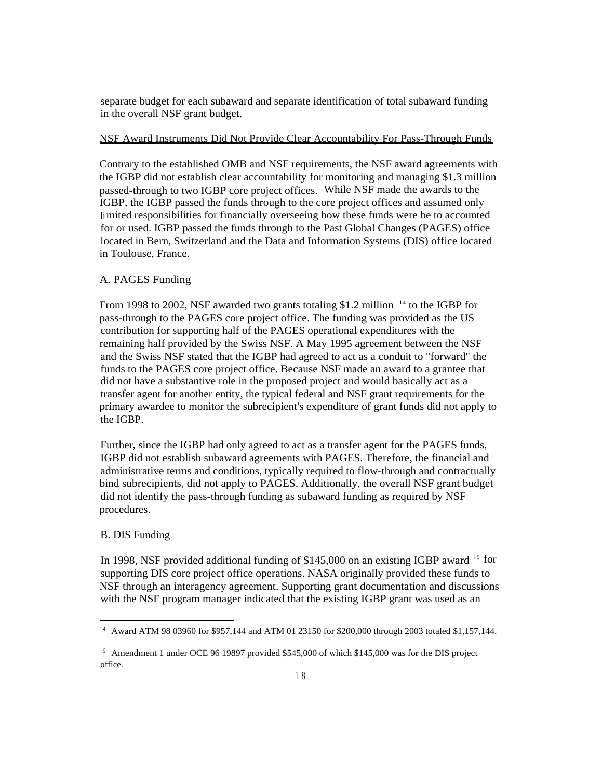separate budget for each subaward and separate identification of total subaward funding in the overall NSF grant budget.

### NSF Award Instruments Did Not Provide Clear Accountability For Pass-Through Funds

Contrary to the established OMB and NSF requirements, the NSF award agreements with the IGBP did not establish clear accountability for monitoring and managing \$1.3 million passed-through to two IGBP core project offices. While NSF made the awards to the IGBP, the IGBP passed the funds through to the core project offices and assumed only limited responsibilities for financially overseeing how these funds were be to accounted for or used. IGBP passed the funds through to the Past Global Changes (PAGES) office located in Bern, Switzerland and the Data and Information Systems (DIS) office located in Toulouse, France.

### A. PAGES Funding

From 1998 to 2002, NSF awarded two grants totaling \$1.2 million <sup>14</sup> to the IGBP for pass-through to the PAGES core project office. The funding was provided as the US contribution for supporting half of the PAGES operational expenditures with the remaining half provided by the Swiss NSF. A May 1995 agreement between the NSF and the Swiss NSF stated that the IGBP had agreed to act as a conduit to "forward" the funds to the PAGES core project office. Because NSF made an award to a grantee that did not have a substantive role in the proposed project and would basically act as a transfer agent for another entity, the typical federal and NSF grant requirements for the primary awardee to monitor the subrecipient's expenditure of grant funds did not apply to the IGBP.

Further, since the IGBP had only agreed to act as a transfer agent for the PAGES funds, IGBP did not establish subaward agreements with PAGES. Therefore, the financial and administrative terms and conditions, typically required to flow-through and contractually bind subrecipients, did not apply to PAGES. Additionally, the overall NSF grant budget did not identify the pass-through funding as subaward funding as required by NSF procedures.

### B. DIS Funding

In 1998, NSF provided additional funding of \$145,000 on an existing IGBP award  $15$  for supporting DIS core project office operations. NASA originally provided these funds to NSF through an interagency agreement. Supporting grant documentation and discussions with the NSF program manager indicated that the existing IGBP grant was used as an

<sup>&</sup>lt;sup>14</sup> Award ATM 98 03960 for \$957,144 and ATM 01 23150 for \$200,000 through 2003 totaled \$1,157,144.

<sup>&</sup>lt;sup>15</sup> Amendment 1 under OCE 96 19897 provided \$545,000 of which \$145,000 was for the DIS project office.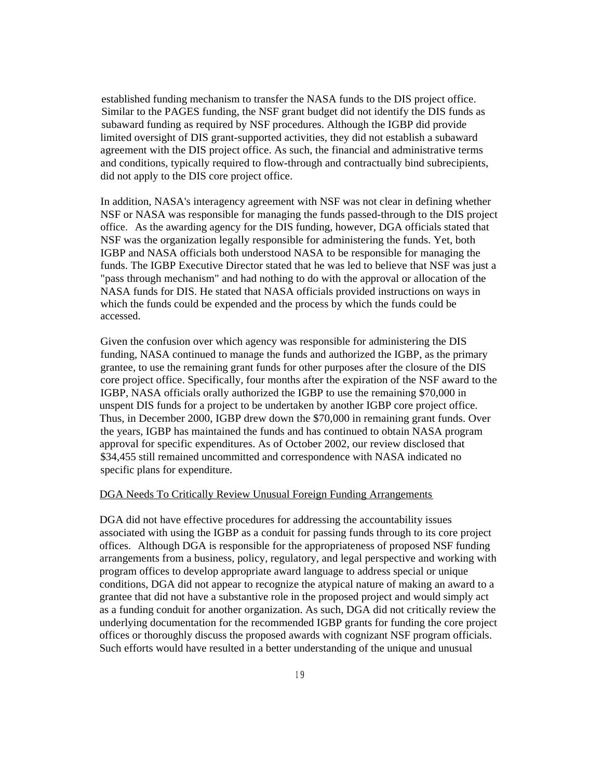established funding mechanism to transfer the NASA funds to the DIS project office. Similar to the PAGES funding, the NSF grant budget did not identify the DIS funds as subaward funding as required by NSF procedures. Although the IGBP did provide limited oversight of DIS grant-supported activities, they did not establish a subaward agreement with the DIS project office. As such, the financial and administrative terms and conditions, typically required to flow-through and contractually bind subrecipients, did not apply to the DIS core project office.

In addition, NASA's interagency agreement with NSF was not clear in defining whether NSF or NASA was responsible for managing the funds passed-through to the DIS project office. As the awarding agency for the DIS funding, however, DGA officials stated that NSF was the organization legally responsible for administering the funds. Yet, both IGBP and NASA officials both understood NASA to be responsible for managing the funds. The IGBP Executive Director stated that he was led to believe that NSF was just a "pass through mechanism" and had nothing to do with the approval or allocation of the NASA funds for DIS. He stated that NASA officials provided instructions on ways in which the funds could be expended and the process by which the funds could be accessed.

Given the confusion over which agency was responsible for administering the DIS funding, NASA continued to manage the funds and authorized the IGBP, as the primary grantee, to use the remaining grant funds for other purposes after the closure of the DIS core project office. Specifically, four months after the expiration of the NSF award to the IGBP, NASA officials orally authorized the IGBP to use the remaining \$70,000 in unspent DIS funds for a project to be undertaken by another IGBP core project office. Thus, in December 2000, IGBP drew down the \$70,000 in remaining grant funds. Over the years, IGBP has maintained the funds and has continued to obtain NASA program approval for specific expenditures. As of October 2002, our review disclosed that \$34,455 still remained uncommitted and correspondence with NASA indicated no specific plans for expenditure.

### DGA Needs To Critically Review Unusual Foreign Funding Arrangements

DGA did not have effective procedures for addressing the accountability issues associated with using the IGBP as a conduit for passing funds through to its core project offices. Although DGA is responsible for the appropriateness of proposed NSF funding arrangements from a business, policy, regulatory, and legal perspective and working with program offices to develop appropriate award language to address special or unique conditions, DGA did not appear to recognize the atypical nature of making an award to a grantee that did not have a substantive role in the proposed project and would simply act as a funding conduit for another organization. As such, DGA did not critically review the underlying documentation for the recommended IGBP grants for funding the core project offices or thoroughly discuss the proposed awards with cognizant NSF program officials. Such efforts would have resulted in a better understanding of the unique and unusual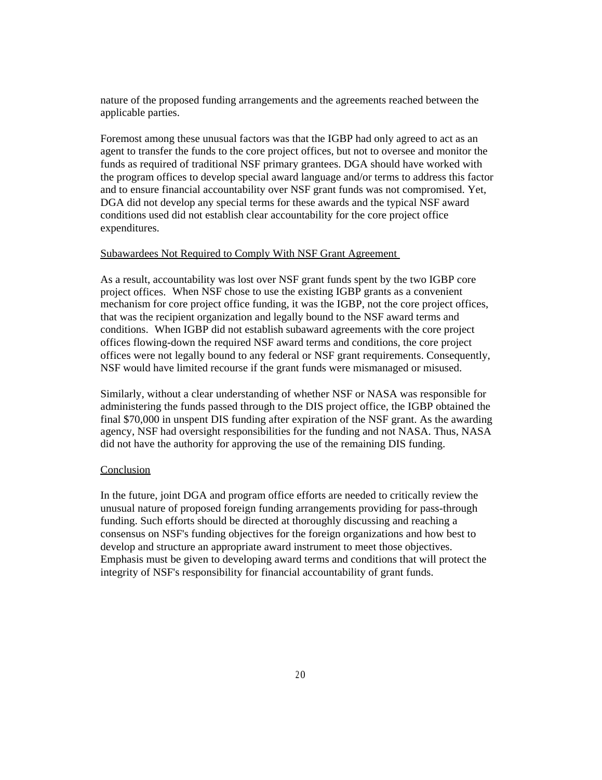nature of the proposed funding arrangements and the agreements reached between the applicable parties.

Foremost among these unusual factors was that the IGBP had only agreed to act as an agent to transfer the funds to the core project offices, but not to oversee and monitor the funds as required of traditional NSF primary grantees. DGA should have worked with the program offices to develop special award language and/or terms to address this factor and to ensure financial accountability over NSF grant funds was not compromised. Yet, DGA did not develop any special terms for these awards and the typical NSF award conditions used did not establish clear accountability for the core project office expenditures.

### Subawardees Not Required to Comply With NSF Grant Agreement

As a result, accountability was lost over NSF grant funds spent by the two IGBP core project offices. When NSF chose to use the existing IGBP grants as a convenient mechanism for core project office funding, it was the IGBP, not the core project offices, that was the recipient organization and legally bound to the NSF award terms and conditions. When IGBP did not establish subaward agreements with the core project offices flowing-down the required NSF award terms and conditions, the core project offices were not legally bound to any federal or NSF grant requirements. Consequently, NSF would have limited recourse if the grant funds were mismanaged or misused.

Similarly, without a clear understanding of whether NSF or NASA was responsible for administering the funds passed through to the DIS project office, the IGBP obtained the final \$70,000 in unspent DIS funding after expiration of the NSF grant. As the awarding agency, NSF had oversight responsibilities for the funding and not NASA. Thus, NASA did not have the authority for approving the use of the remaining DIS funding.

### Conclusion

In the future, joint DGA and program office efforts are needed to critically review the unusual nature of proposed foreign funding arrangements providing for pass-through funding. Such efforts should be directed at thoroughly discussing and reaching a consensus on NSF's funding objectives for the foreign organizations and how best to develop and structure an appropriate award instrument to meet those objectives. Emphasis must be given to developing award terms and conditions that will protect the integrity of NSF's responsibility for financial accountability of grant funds.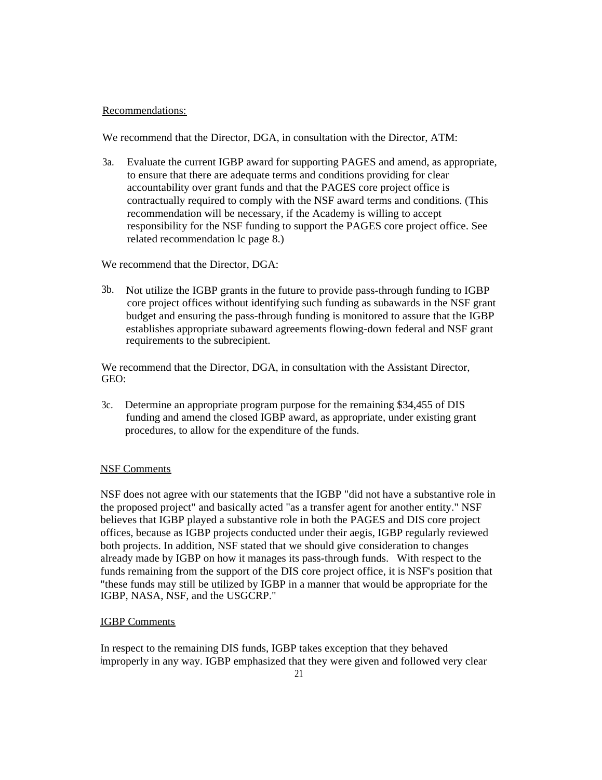### Recommendations:

We recommend that the Director, DGA, in consultation with the Director, ATM:

3a. Evaluate the current IGBP award for supporting PAGES and amend, as appropriate, to ensure that there are adequate terms and conditions providing for clear accountability over grant funds and that the PAGES core project office is contractually required to comply with the NSF award terms and conditions. (This recommendation will be necessary, if the Academy is willing to accept responsibility for the NSF funding to support the PAGES core project office. See related recommendation lc page 8.)

We recommend that the Director, DGA:

3b. Not utilize the IGBP grants in the future to provide pass-through funding to IGBP core project offices without identifying such funding as subawards in the NSF grant budget and ensuring the pass-through funding is monitored to assure that the IGBP establishes appropriate subaward agreements flowing-down federal and NSF grant requirements to the subrecipient.

We recommend that the Director, DGA, in consultation with the Assistant Director, GEO:

3c. Determine an appropriate program purpose for the remaining \$34,455 of DIS funding and amend the closed IGBP award, as appropriate, under existing grant procedures, to allow for the expenditure of the funds.

### NSF Comments

NSF does not agree with our statements that the IGBP "did not have a substantive role in the proposed project" and basically acted "as a transfer agent for another entity." NSF believes that IGBP played a substantive role in both the PAGES and DIS core project offices, because as IGBP projects conducted under their aegis, IGBP regularly reviewed both projects. In addition, NSF stated that we should give consideration to changes already made by IGBP on how it manages its pass-through funds. With respect to the funds remaining from the support of the DIS core project office, it is NSF's position that "these funds may still be utilized by IGBP in a manner that would be appropriate for the IGBP, NASA, NSF, and the USGCRP."

### IGBP Comments

In respect to the remaining DIS funds, IGBP takes exception that they behaved improperly in any way. IGBP emphasized that they were given and followed very clear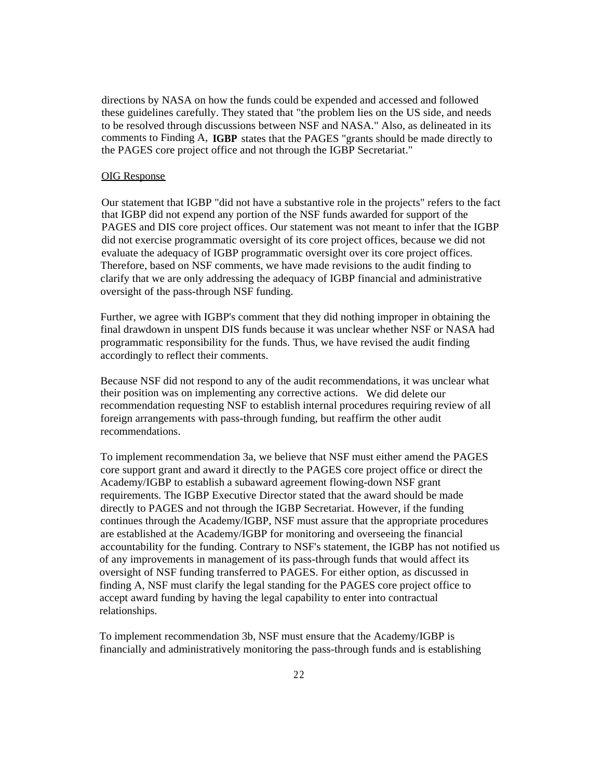directions by NASA on how the funds could be expended and accessed and followed these guidelines carefully. They stated that "the problem lies on the US side, and needs to be resolved through discussions between NSF and NASA." Also, as delineated in its comments to Finding A, **IGBP** states that the PAGES "grants should be made directly to the PAGES core project office and not through the IGBP Secretariat."

### OIG Response

Our statement that IGBP "did not have a substantive role in the projects" refers to the fact that IGBP did not expend any portion of the NSF funds awarded for support of the PAGES and DIS core project offices. Our statement was not meant to infer that the IGBP did not exercise programmatic oversight of its core project offices, because we did not evaluate the adequacy of IGBP programmatic oversight over its core project offices. Therefore, based on NSF comments, we have made revisions to the audit finding to clarify that we are only addressing the adequacy of IGBP financial and administrative oversight of the pass-through NSF funding.

Further, we agree with IGBP's comment that they did nothing improper in obtaining the final drawdown in unspent DIS funds because it was unclear whether NSF or NASA had programmatic responsibility for the funds. Thus, we have revised the audit finding accordingly to reflect their comments.

Because NSF did not respond to any of the audit recommendations, it was unclear what their position was on implementing any corrective actions. We did delete our recommendation requesting NSF to establish internal procedures requiring review of all foreign arrangements with pass-through funding, but reaffirm the other audit recommendations.

To implement recommendation 3a, we believe that NSF must either amend the PAGES core support grant and award it directly to the PAGES core project office or direct the Academy/IGBP to establish a subaward agreement flowing-down NSF grant requirements. The IGBP Executive Director stated that the award should be made directly to PAGES and not through the IGBP Secretariat. However, if the funding continues through the Academy/IGBP, NSF must assure that the appropriate procedures are established at the Academy/IGBP for monitoring and overseeing the financial accountability for the funding. Contrary to NSF's statement, the IGBP has not notified us of any improvements in management of its pass-through funds that would affect its oversight of NSF funding transferred to PAGES. For either option, as discussed in finding A, NSF must clarify the legal standing for the PAGES core project office to accept award funding by having the legal capability to enter into contractual relationships.

To implement recommendation 3b, NSF must ensure that the Academy/IGBP is financially and administratively monitoring the pass-through funds and is establishing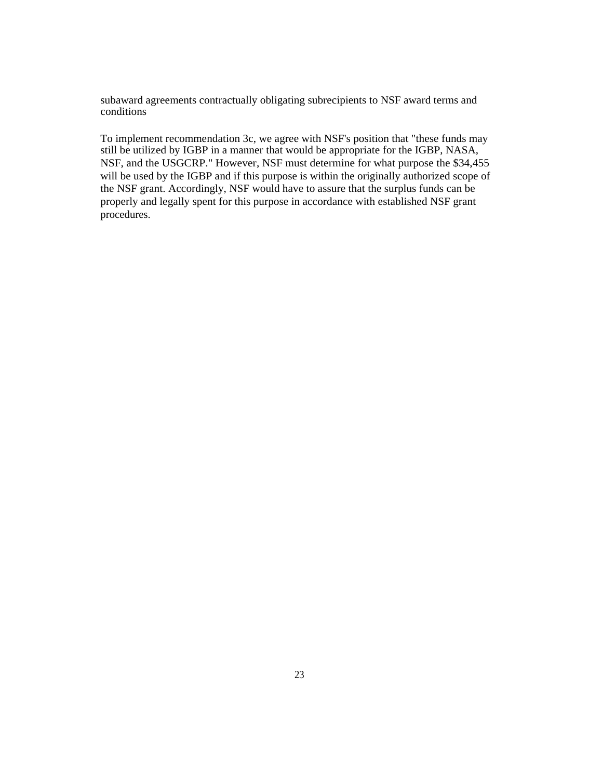subaward agreements contractually obligating subrecipients to NSF award terms and conditions

To implement recommendation 3c, we agree with NSF's position that "these funds may still be utilized by IGBP in a manner that would be appropriate for the IGBP, NASA, NSF, and the USGCRP." However, NSF must determine for what purpose the \$34,455 will be used by the IGBP and if this purpose is within the originally authorized scope of the NSF grant. Accordingly, NSF would have to assure that the surplus funds can be properly and legally spent for this purpose in accordance with established NSF grant procedures.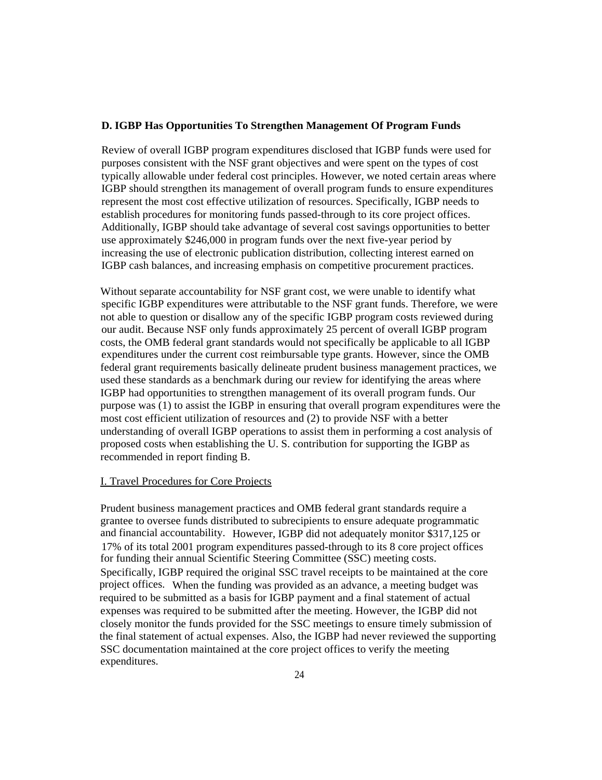### **D. IGBP Has Opportunities To Strengthen Management Of Program Funds**

Review of overall IGBP program expenditures disclosed that IGBP funds were used for purposes consistent with the NSF grant objectives and were spent on the types of cost typically allowable under federal cost principles. However, we noted certain areas where IGBP should strengthen its management of overall program funds to ensure expenditures represent the most cost effective utilization of resources. Specifically, IGBP needs to establish procedures for monitoring funds passed-through to its core project offices. Additionally, IGBP should take advantage of several cost savings opportunities to better use approximately \$246,000 in program funds over the next five-year period by increasing the use of electronic publication distribution, collecting interest earned on IGBP cash balances, and increasing emphasis on competitive procurement practices.

Without separate accountability for NSF grant cost, we were unable to identify what specific IGBP expenditures were attributable to the NSF grant funds. Therefore, we were not able to question or disallow any of the specific IGBP program costs reviewed during our audit. Because NSF only funds approximately 25 percent of overall IGBP program costs, the OMB federal grant standards would not specifically be applicable to all IGBP expenditures under the current cost reimbursable type grants. However, since the OMB federal grant requirements basically delineate prudent business management practices, we used these standards as a benchmark during our review for identifying the areas where IGBP had opportunities to strengthen management of its overall program funds. Our purpose was (1) to assist the IGBP in ensuring that overall program expenditures were the most cost efficient utilization of resources and (2) to provide NSF with a better understanding of overall IGBP operations to assist them in performing a cost analysis of proposed costs when establishing the U. S. contribution for supporting the IGBP as recommended in report finding B.

#### I. Travel Procedures for Core Projects

Prudent business management practices and OMB federal grant standards require a grantee to oversee funds distributed to subrecipients to ensure adequate programmatic and financial accountability. However, IGBP did not adequately monitor \$317,125 or 17% of its total 2001 program expenditures passed-through to its 8 core project offices for funding their annual Scientific Steering Committee (SSC) meeting costs. Specifically, IGBP required the original SSC travel receipts to be maintained at the core project offices. When the funding was provided as an advance, a meeting budget was required to be submitted as a basis for IGBP payment and a final statement of actual expenses was required to be submitted after the meeting. However, the IGBP did not closely monitor the funds provided for the SSC meetings to ensure timely submission of the final statement of actual expenses. Also, the IGBP had never reviewed the supporting SSC documentation maintained at the core project offices to verify the meeting expenditures.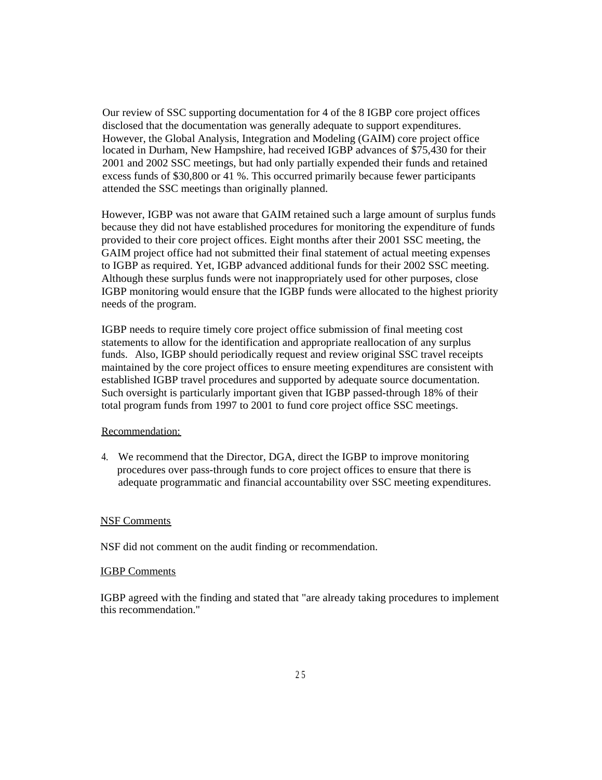Our review of SSC supporting documentation for 4 of the 8 IGBP core project offices disclosed that the documentation was generally adequate to support expenditures. However, the Global Analysis, Integration and Modeling (GAIM) core project office located in Durham, New Hampshire, had received IGBP advances of \$75,430 for their 2001 and 2002 SSC meetings, but had only partially expended their funds and retained excess funds of \$30,800 or 41 %. This occurred primarily because fewer participants attended the SSC meetings than originally planned.

However, IGBP was not aware that GAIM retained such a large amount of surplus funds because they did not have established procedures for monitoring the expenditure of funds provided to their core project offices. Eight months after their 2001 SSC meeting, the GAIM project office had not submitted their final statement of actual meeting expenses to IGBP as required. Yet, IGBP advanced additional funds for their 2002 SSC meeting. Although these surplus funds were not inappropriately used for other purposes, close IGBP monitoring would ensure that the IGBP funds were allocated to the highest priority needs of the program.

IGBP needs to require timely core project office submission of final meeting cost statements to allow for the identification and appropriate reallocation of any surplus funds. Also, IGBP should periodically request and review original SSC travel receipts maintained by the core project offices to ensure meeting expenditures are consistent with established IGBP travel procedures and supported by adequate source documentation. Such oversight is particularly important given that IGBP passed-through 18% of their total program funds from 1997 to 2001 to fund core project office SSC meetings.

#### Recommendation:

4. We recommend that the Director, DGA, direct the IGBP to improve monitoring procedures over pass-through funds to core project offices to ensure that there is adequate programmatic and financial accountability over SSC meeting expenditures.

### NSF Comments

NSF did not comment on the audit finding or recommendation.

### IGBP Comments

IGBP agreed with the finding and stated that "are already taking procedures to implement this recommendation."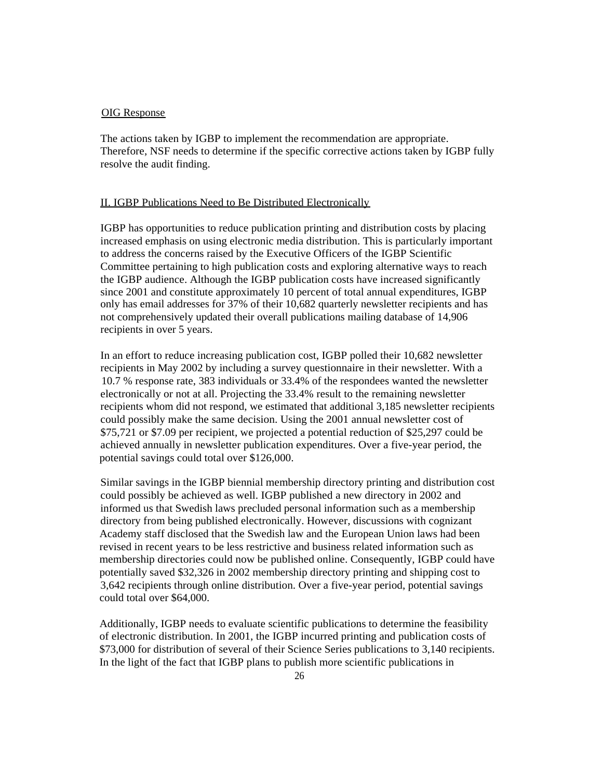### OIG Response

The actions taken by IGBP to implement the recommendation are appropriate. Therefore, NSF needs to determine if the specific corrective actions taken by IGBP fully resolve the audit finding.

#### II. IGBP Publications Need to Be Distributed Electronically

IGBP has opportunities to reduce publication printing and distribution costs by placing increased emphasis on using electronic media distribution. This is particularly important to address the concerns raised by the Executive Officers of the IGBP Scientific Committee pertaining to high publication costs and exploring alternative ways to reach the IGBP audience. Although the IGBP publication costs have increased significantly since 2001 and constitute approximately 10 percent of total annual expenditures, IGBP only has email addresses for 37% of their 10,682 quarterly newsletter recipients and has not comprehensively updated their overall publications mailing database of 14,906 recipients in over 5 years.

In an effort to reduce increasing publication cost, IGBP polled their 10,682 newsletter recipients in May 2002 by including a survey questionnaire in their newsletter. With a 10.7 % response rate, 383 individuals or 33.4% of the respondees wanted the newsletter electronically or not at all. Projecting the 33.4% result to the remaining newsletter recipients whom did not respond, we estimated that additional 3,185 newsletter recipients could possibly make the same decision. Using the 2001 annual newsletter cost of \$75,721 or \$7.09 per recipient, we projected a potential reduction of \$25,297 could be achieved annually in newsletter publication expenditures. Over a five-year period, the potential savings could total over \$126,000.

Similar savings in the IGBP biennial membership directory printing and distribution cost could possibly be achieved as well. IGBP published a new directory in 2002 and informed us that Swedish laws precluded personal information such as a membership directory from being published electronically. However, discussions with cognizant Academy staff disclosed that the Swedish law and the European Union laws had been revised in recent years to be less restrictive and business related information such as membership directories could now be published online. Consequently, IGBP could have potentially saved \$32,326 in 2002 membership directory printing and shipping cost to 3,642 recipients through online distribution. Over a five-year period, potential savings could total over \$64,000.

Additionally, IGBP needs to evaluate scientific publications to determine the feasibility of electronic distribution. In 2001, the IGBP incurred printing and publication costs of \$73,000 for distribution of several of their Science Series publications to 3,140 recipients. In the light of the fact that IGBP plans to publish more scientific publications in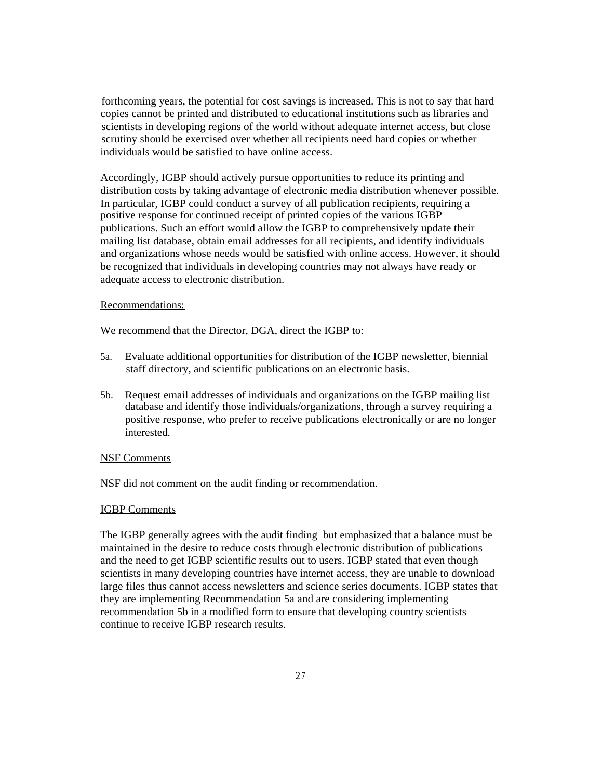forthcoming years, the potential for cost savings is increased. This is not to say that hard copies cannot be printed and distributed to educational institutions such as libraries and scientists in developing regions of the world without adequate internet access, but close scrutiny should be exercised over whether all recipients need hard copies or whether individuals would be satisfied to have online access.

Accordingly, IGBP should actively pursue opportunities to reduce its printing and distribution costs by taking advantage of electronic media distribution whenever possible. In particular, IGBP could conduct a survey of all publication recipients, requiring a positive response for continued receipt of printed copies of the various IGBP publications. Such an effort would allow the IGBP to comprehensively update their mailing list database, obtain email addresses for all recipients, and identify individuals and organizations whose needs would be satisfied with online access. However, it should be recognized that individuals in developing countries may not always have ready or adequate access to electronic distribution.

#### Recommendations:

We recommend that the Director, DGA, direct the IGBP to:

- 5a. Evaluate additional opportunities for distribution of the IGBP newsletter, biennial staff directory, and scientific publications on an electronic basis.
- 5b. Request email addresses of individuals and organizations on the IGBP mailing list database and identify those individuals/organizations, through a survey requiring a positive response, who prefer to receive publications electronically or are no longer interested.

#### NSF Comments

NSF did not comment on the audit finding or recommendation.

#### IGBP Comments

The IGBP generally agrees with the audit finding but emphasized that a balance must be maintained in the desire to reduce costs through electronic distribution of publications and the need to get IGBP scientific results out to users. IGBP stated that even though scientists in many developing countries have internet access, they are unable to download large files thus cannot access newsletters and science series documents. IGBP states that they are implementing Recommendation 5a and are considering implementing recommendation 5b in a modified form to ensure that developing country scientists continue to receive IGBP research results.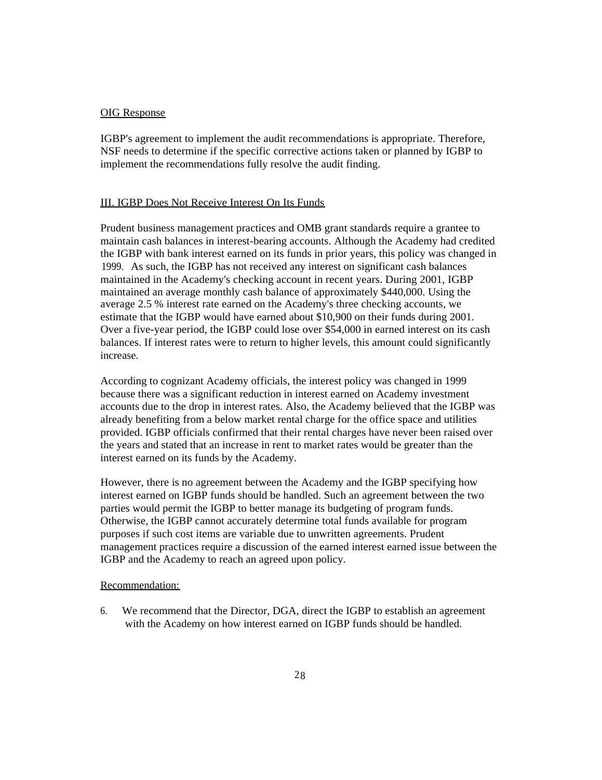### OIG Response

IGBP's agreement to implement the audit recommendations is appropriate. Therefore, NSF needs to determine if the specific corrective actions taken or planned by IGBP to implement the recommendations fully resolve the audit finding.

### III. IGBP Does Not Receive Interest On Its Funds

Prudent business management practices and OMB grant standards require a grantee to maintain cash balances in interest-bearing accounts. Although the Academy had credited the IGBP with bank interest earned on its funds in prior years, this policy was changed in 1999. As such, the IGBP has not received any interest on significant cash balances maintained in the Academy's checking account in recent years. During 2001, IGBP maintained an average monthly cash balance of approximately \$440,000. Using the average 2.5 % interest rate earned on the Academy's three checking accounts, we estimate that the IGBP would have earned about \$10,900 on their funds during 2001. Over a five-year period, the IGBP could lose over \$54,000 in earned interest on its cash balances. If interest rates were to return to higher levels, this amount could significantly increase.

According to cognizant Academy officials, the interest policy was changed in 1999 because there was a significant reduction in interest earned on Academy investment accounts due to the drop in interest rates. Also, the Academy believed that the IGBP was already benefiting from a below market rental charge for the office space and utilities provided. IGBP officials confirmed that their rental charges have never been raised over the years and stated that an increase in rent to market rates would be greater than the interest earned on its funds by the Academy.

However, there is no agreement between the Academy and the IGBP specifying how interest earned on IGBP funds should be handled. Such an agreement between the two parties would permit the IGBP to better manage its budgeting of program funds. Otherwise, the IGBP cannot accurately determine total funds available for program purposes if such cost items are variable due to unwritten agreements. Prudent management practices require a discussion of the earned interest earned issue between the IGBP and the Academy to reach an agreed upon policy.

#### Recommendation:

6. We recommend that the Director, DGA, direct the IGBP to establish an agreement with the Academy on how interest earned on IGBP funds should be handled.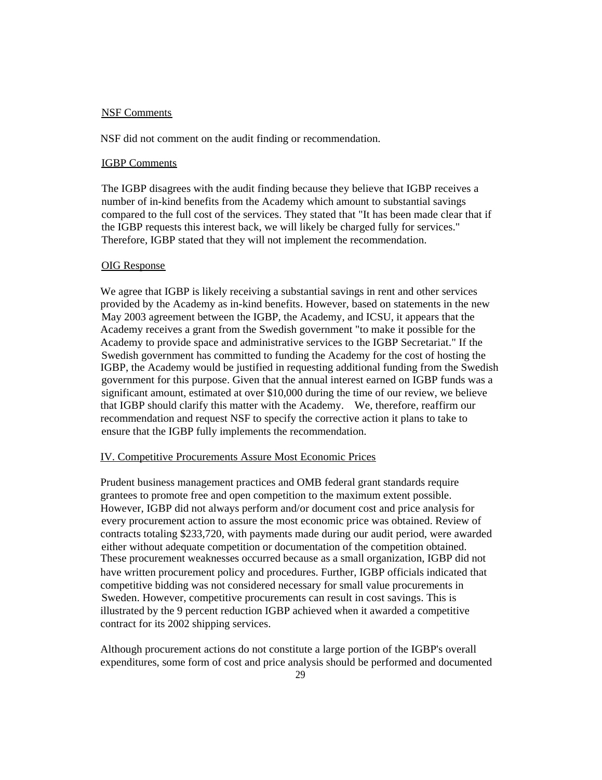### NSF Comments

NSF did not comment on the audit finding or recommendation.

#### IGBP Comments

The IGBP disagrees with the audit finding because they believe that IGBP receives a number of in-kind benefits from the Academy which amount to substantial savings compared to the full cost of the services. They stated that "It has been made clear that if the IGBP requests this interest back, we will likely be charged fully for services." Therefore, IGBP stated that they will not implement the recommendation.

### OIG Response

We agree that IGBP is likely receiving a substantial savings in rent and other services provided by the Academy as in-kind benefits. However, based on statements in the new May 2003 agreement between the IGBP, the Academy, and ICSU, it appears that the Academy receives a grant from the Swedish government "to make it possible for the Academy to provide space and administrative services to the IGBP Secretariat." If the Swedish government has committed to funding the Academy for the cost of hosting the IGBP, the Academy would be justified in requesting additional funding from the Swedish government for this purpose. Given that the annual interest earned on IGBP funds was a significant amount, estimated at over \$10,000 during the time of our review, we believe that IGBP should clarify this matter with the Academy. We, therefore, reaffirm our recommendation and request NSF to specify the corrective action it plans to take to ensure that the IGBP fully implements the recommendation.

### IV. Competitive Procurements Assure Most Economic Prices

Prudent business management practices and OMB federal grant standards require grantees to promote free and open competition to the maximum extent possible. However, IGBP did not always perform and/or document cost and price analysis for every procurement action to assure the most economic price was obtained. Review of contracts totaling \$233,720, with payments made during our audit period, were awarded either without adequate competition or documentation of the competition obtained. These procurement weaknesses occurred because as a small organization, IGBP did not have written procurement policy and procedures. Further, IGBP officials indicated that competitive bidding was not considered necessary for small value procurements in Sweden. However, competitive procurements can result in cost savings. This is illustrated by the 9 percent reduction IGBP achieved when it awarded a competitive contract for its 2002 shipping services.

Although procurement actions do not constitute a large portion of the IGBP's overall expenditures, some form of cost and price analysis should be performed and documented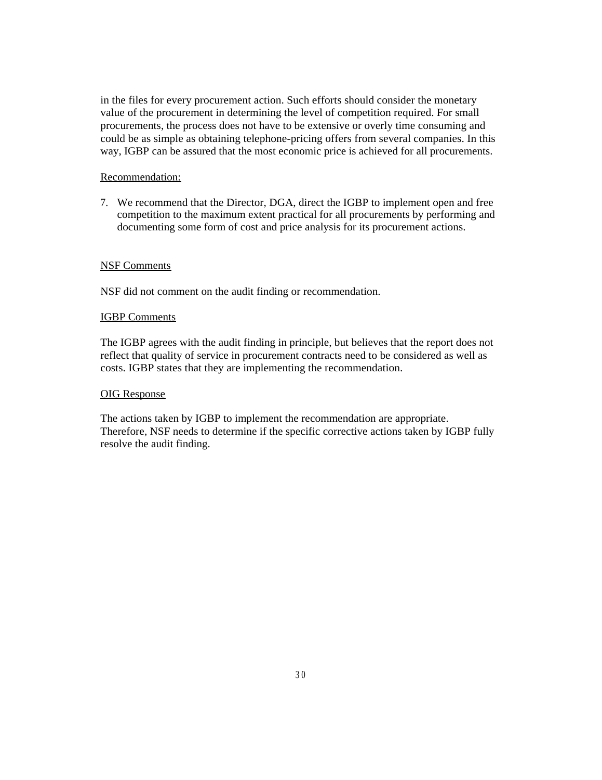in the files for every procurement action. Such efforts should consider the monetary value of the procurement in determining the level of competition required. For small procurements, the process does not have to be extensive or overly time consuming and could be as simple as obtaining telephone-pricing offers from several companies. In this way, IGBP can be assured that the most economic price is achieved for all procurements.

### Recommendation:

7. We recommend that the Director, DGA, direct the IGBP to implement open and free competition to the maximum extent practical for all procurements by performing and documenting some form of cost and price analysis for its procurement actions.

### NSF Comments

NSF did not comment on the audit finding or recommendation.

### IGBP Comments

The IGBP agrees with the audit finding in principle, but believes that the report does not reflect that quality of service in procurement contracts need to be considered as well as costs. IGBP states that they are implementing the recommendation.

### OIG Response

The actions taken by IGBP to implement the recommendation are appropriate. Therefore, NSF needs to determine if the specific corrective actions taken by IGBP fully resolve the audit finding.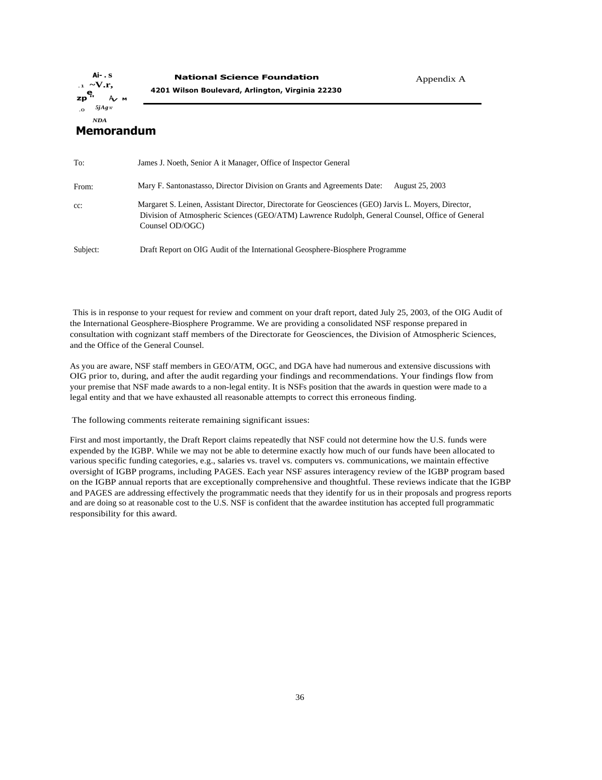**Ai- . s** .1 **~V.r, zp ''** <sup>A</sup>**V <sup>M</sup>** .0 *5jAg* <sup>W</sup> *NDA*

### **Memorandum**

| To:      | James J. Noeth, Senior A it Manager, Office of Inspector General                                                                                                                                                            |
|----------|-----------------------------------------------------------------------------------------------------------------------------------------------------------------------------------------------------------------------------|
| From:    | Mary F. Santonastasso, Director Division on Grants and Agreements Date:<br>August 25, 2003                                                                                                                                  |
| $cc$ :   | Margaret S. Leinen, Assistant Director, Directorate for Geosciences (GEO) Jarvis L. Moyers, Director,<br>Division of Atmospheric Sciences (GEO/ATM) Lawrence Rudolph, General Counsel, Office of General<br>Counsel OD/OGC) |
| Subject: | Draft Report on OIG Audit of the International Geosphere-Biosphere Programme                                                                                                                                                |

This is in response to your request for review and comment on your draft report, dated July 25, 2003, of the OIG Audit of the International Geosphere-Biosphere Programme. We are providing a consolidated NSF response prepared in consultation with cognizant staff members of the Directorate for Geosciences, the Division of Atmospheric Sciences, and the Office of the General Counsel.

As you are aware, NSF staff members in GEO/ATM, OGC, and DGA have had numerous and extensive discussions with OIG prior to, during, and after the audit regarding your findings and recommendations. Your findings flow from your premise that NSF made awards to a non-legal entity. It is NSFs position that the awards in question were made to a legal entity and that we have exhausted all reasonable attempts to correct this erroneous finding.

The following comments reiterate remaining significant issues:

First and most importantly, the Draft Report claims repeatedly that NSF could not determine how the U.S. funds were expended by the IGBP. While we may not be able to determine exactly how much of our funds have been allocated to various specific funding categories, e.g., salaries vs. travel vs. computers vs. communications, we maintain effective oversight of IGBP programs, including PAGES. Each year NSF assures interagency review of the IGBP program based on the IGBP annual reports that are exceptionally comprehensive and thoughtful. These reviews indicate that the IGBP and PAGES are addressing effectively the programmatic needs that they identify for us in their proposals and progress reports and are doing so at reasonable cost to the U.S. NSF is confident that the awardee institution has accepted full programmatic responsibility for this award.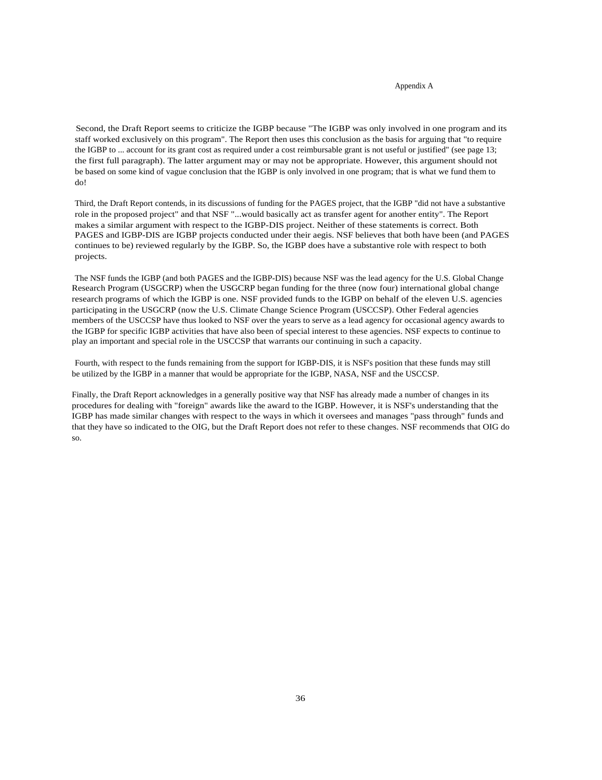#### Appendix A

Second, the Draft Report seems to criticize the IGBP because "The IGBP was only involved in one program and its staff worked exclusively on this program". The Report then uses this conclusion as the basis for arguing that "to require the IGBP to ... account for its grant cost as required under a cost reimbursable grant is not useful or justified" (see page 13; the first full paragraph). The latter argument may or may not be appropriate. However, this argument should not be based on some kind of vague conclusion that the IGBP is only involved in one program; that is what we fund them to do!

Third, the Draft Report contends, in its discussions of funding for the PAGES project, that the IGBP "did not have a substantive role in the proposed project" and that NSF "...would basically act as transfer agent for another entity". The Report makes a similar argument with respect to the IGBP-DIS project. Neither of these statements is correct. Both PAGES and IGBP-DIS are IGBP projects conducted under their aegis. NSF believes that both have been (and PAGES continues to be) reviewed regularly by the IGBP. So, the IGBP does have a substantive role with respect to both projects.

The NSF funds the IGBP (and both PAGES and the IGBP-DIS) because NSF was the lead agency for the U.S. Global Change Research Program (USGCRP) when the USGCRP began funding for the three (now four) international global change research programs of which the IGBP is one. NSF provided funds to the IGBP on behalf of the eleven U.S. agencies participating in the USGCRP (now the U.S. Climate Change Science Program (USCCSP). Other Federal agencies members of the USCCSP have thus looked to NSF over the years to serve as a lead agency for occasional agency awards to the IGBP for specific IGBP activities that have also been of special interest to these agencies. NSF expects to continue to play an important and special role in the USCCSP that warrants our continuing in such a capacity.

Fourth, with respect to the funds remaining from the support for IGBP-DIS, it is NSF's position that these funds may still be utilized by the IGBP in a manner that would be appropriate for the IGBP, NASA, NSF and the USCCSP.

Finally, the Draft Report acknowledges in a generally positive way that NSF has already made a number of changes in its procedures for dealing with "foreign" awards like the award to the IGBP. However, it is NSF's understanding that the IGBP has made similar changes with respect to the ways in which it oversees and manages "pass through" funds and that they have so indicated to the OIG, but the Draft Report does not refer to these changes. NSF recommends that OIG do so.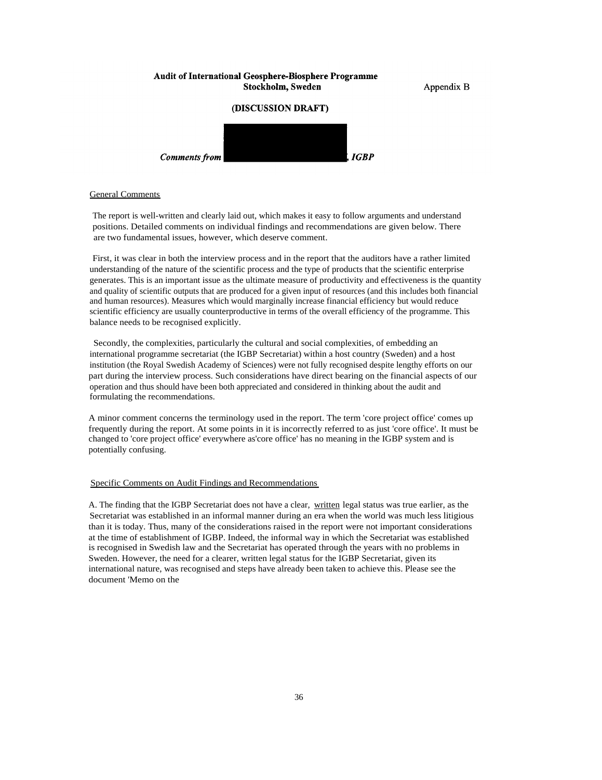#### **Audit of International Geosphere-Biosphere Programme** Stockholm, Sweden

Appendix B

### (DISCUSSION DRAFT)



#### General Comments

The report is well-written and clearly laid out, which makes it easy to follow arguments and understand positions. Detailed comments on individual findings and recommendations are given below. There are two fundamental issues, however, which deserve comment.

First, it was clear in both the interview process and in the report that the auditors have a rather limited understanding of the nature of the scientific process and the type of products that the scientific enterprise generates. This is an important issue as the ultimate measure of productivity and effectiveness is the quantity and quality of scientific outputs that are produced for a given input of resources (and this includes both financial and human resources). Measures which would marginally increase financial efficiency but would reduce scientific efficiency are usually counterproductive in terms of the overall efficiency of the programme. This balance needs to be recognised explicitly.

Secondly, the complexities, particularly the cultural and social complexities, of embedding an international programme secretariat (the IGBP Secretariat) within a host country (Sweden) and a host institution (the Royal Swedish Academy of Sciences) were not fully recognised despite lengthy efforts on our part during the interview process. Such considerations have direct bearing on the financial aspects of our operation and thus should have been both appreciated and considered in thinking about the audit and formulating the recommendations.

A minor comment concerns the terminology used in the report. The term 'core project office' comes up frequently during the report. At some points in it is incorrectly referred to as just 'core office'. It must be changed to 'core project office' everywhere as'core office' has no meaning in the IGBP system and is potentially confusing.

#### Specific Comments on Audit Findings and Recommendations

A. The finding that the IGBP Secretariat does not have a clear, written legal status was true earlier, as the Secretariat was established in an informal manner during an era when the world was much less litigious than it is today. Thus, many of the considerations raised in the report were not important considerations at the time of establishment of IGBP. Indeed, the informal way in which the Secretariat was established is recognised in Swedish law and the Secretariat has operated through the years with no problems in Sweden. However, the need for a clearer, written legal status for the IGBP Secretariat, given its international nature, was recognised and steps have already been taken to achieve this. Please see the document 'Memo on the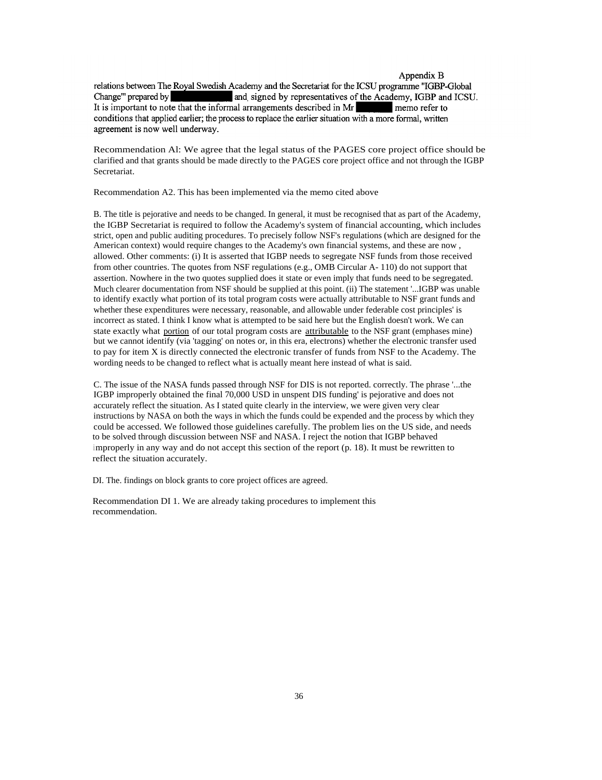#### Appendix B

relations between The Royal Swedish Academy and the Secretariat for the ICSU programme "IGBP-Global and signed by representatives of the Academy, IGBP and ICSU. Change" prepared by It is important to note that the informal arrangements described in Mr memo refer to conditions that applied earlier; the process to replace the earlier situation with a more formal, written agreement is now well underway.

Recommendation Al: We agree that the legal status of the PAGES core project office should be clarified and that grants should be made directly to the PAGES core project office and not through the IGBP Secretariat.

Recommendation A2. This has been implemented via the memo cited above

B. The title is pejorative and needs to be changed. In general, it must be recognised that as part of the Academy, the IGBP Secretariat is required to follow the Academy's system of financial accounting, which includes strict, open and public auditing procedures. To precisely follow NSF's regulations (which are designed for the American context) would require changes to the Academy's own financial systems, and these are now , allowed. Other comments: (i) It is asserted that IGBP needs to segregate NSF funds from those received from other countries. The quotes from NSF regulations (e.g., OMB Circular A- 110) do not support that assertion. Nowhere in the two quotes supplied does it state or even imply that funds need to be segregated. Much clearer documentation from NSF should be supplied at this point. (ii) The statement '...IGBP was unable to identify exactly what portion of its total program costs were actually attributable to NSF grant funds and whether these expenditures were necessary, reasonable, and allowable under federable cost principles' is incorrect as stated. I think I know what is attempted to be said here but the English doesn't work. We can state exactly what portion of our total program costs are attributable to the NSF grant (emphases mine) but we cannot identify (via 'tagging' on notes or, in this era, electrons) whether the electronic transfer used to pay for item X is directly connected the electronic transfer of funds from NSF to the Academy. The wording needs to be changed to reflect what is actually meant here instead of what is said.

C. The issue of the NASA funds passed through NSF for DIS is not reported. correctly. The phrase '...the IGBP improperly obtained the final 70,000 USD in unspent DIS funding' is pejorative and does not accurately reflect the situation. As I stated quite clearly in the interview, we were given very clear instructions by NASA on both the ways in which the funds could be expended and the process by which they could be accessed. We followed those guidelines carefully. The problem lies on the US side, and needs to be solved through discussion between NSF and NASA. I reject the notion that IGBP behaved <sup>i</sup> mproperly in any way and do not accept this section of the report (p. 18). It must be rewritten to reflect the situation accurately.

DI. The. findings on block grants to core project offices are agreed.

Recommendation DI 1. We are already taking procedures to implement this recommendation.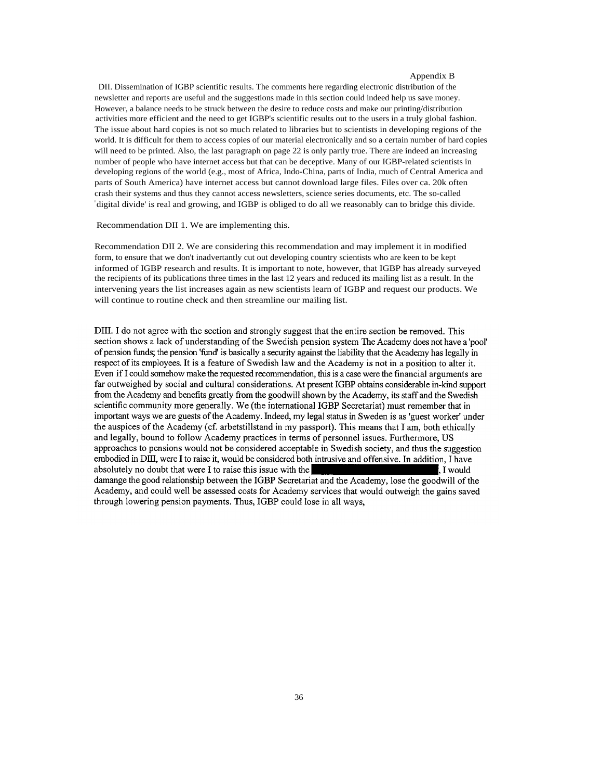#### Appendix B

DII. Dissemination of IGBP scientific results. The comments here regarding electronic distribution of the newsletter and reports are useful and the suggestions made in this section could indeed help us save money. However, a balance needs to be struck between the desire to reduce costs and make our printing/distribution activities more efficient and the need to get IGBP's scientific results out to the users in a truly global fashion. The issue about hard copies is not so much related to libraries but to scientists in developing regions of the world. It is difficult for them to access copies of our material electronically and so a certain number of hard copies will need to be printed. Also, the last paragraph on page 22 is only partly true. There are indeed an increasing number of people who have internet access but that can be deceptive. Many of our IGBP-related scientists in developing regions of the world (e.g., most of Africa, Indo-China, parts of India, much of Central America and parts of South America) have internet access but cannot download large files. Files over ca. 20k often crash their systems and thus they cannot access newsletters, science series documents, etc. The so-called ' digital divide' is real and growing, and IGBP is obliged to do all we reasonably can to bridge this divide.

Recommendation DII 1. We are implementing this.

Recommendation DII 2. We are considering this recommendation and may implement it in modified form, to ensure that we don't inadvertantly cut out developing country scientists who are keen to be kept informed of IGBP research and results. It is important to note, however, that IGBP has already surveyed the recipients of its publications three times in the last 12 years and reduced its mailing list as a result. In the intervening years the list increases again as new scientists learn of IGBP and request our products. We will continue to routine check and then streamline our mailing list.

DIII. I do not agree with the section and strongly suggest that the entire section be removed. This section shows a lack of understanding of the Swedish pension system The Academy does not have a 'pool' of pension funds; the pension 'fund' is basically a security against the liability that the Academy has legally in respect of its employees. It is a feature of Swedish law and the Academy is not in a position to alter it. Even if I could somehow make the requested recommendation, this is a case were the financial arguments are far outweighed by social and cultural considerations. At present IGBP obtains considerable in-kind support from the Academy and benefits greatly from the goodwill shown by the Academy, its staff and the Swedish scientific community more generally. We (the international IGBP Secretariat) must remember that in important ways we are guests of the Academy. Indeed, my legal status in Sweden is as 'guest worker' under the auspices of the Academy (cf. arbetstillstand in my passport). This means that I am, both ethically and legally, bound to follow Academy practices in terms of personnel issues. Furthermore, US approaches to pensions would not be considered acceptable in Swedish society, and thus the suggestion embodied in DIII, were I to raise it, would be considered both intrusive and offensive. In addition, I have absolutely no doubt that were I to raise this issue with the . I would damange the good relationship between the IGBP Secretariat and the Academy, lose the goodwill of the Academy, and could well be assessed costs for Academy services that would outweigh the gains saved through lowering pension payments. Thus, IGBP could lose in all ways,